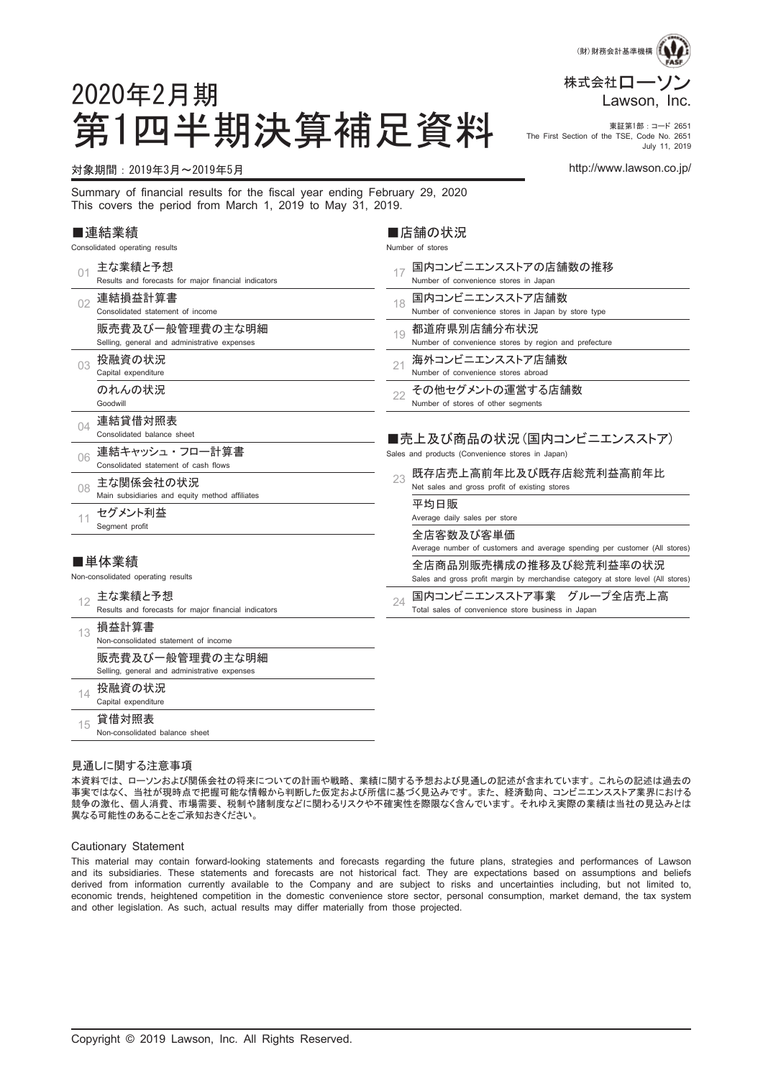

#### 第1四半期決算補足資料 市Erist Section of the TSE, Code No. 2851 The First Section of the TSE, Code No. 2651 July 11, 2019

### 対象期間:2019年3月~2019年5月 http://www.lawson.co.jp/

2020年2月期

Summary of financial results for the fiscal year ending February 29, 2020 This covers the period from March 1, 2019 to May 31, 2019.

#### ■連結業績

Consolidated operating results

|    | 主な業績と予想<br>Results and forecasts for major financial indicators | 国内コンビニエンスストアの店舗数の推移<br>Number of convenience stores in Japan                                                |
|----|-----------------------------------------------------------------|-------------------------------------------------------------------------------------------------------------|
| 02 | 連結損益計算書<br>Consolidated statement of income                     | 国内コンビニエンスストア店舗数<br>18<br>Number of convenience stores in Japan by store type                                |
|    | 販売費及び一般管理費の主な明細<br>Selling, general and administrative expenses | 都道府県別店舗分布状況<br>19<br>Number of convenience stores by region and prefecture                                  |
| 03 | 投融資の状況<br>Capital expenditure                                   | 海外コンビニエンスストア店舗数<br>21<br>Number of convenience stores abroad                                                |
|    | のれんの状況<br>Goodwill                                              | その他セグメントの運営する店舗数<br>22<br>Number of stores of other segments                                                |
| 04 | 連結貸借対照表<br>Consolidated balance sheet                           | ■売上及び商品の状況(国内コンビニエンスストア)                                                                                    |
| 06 | 連結キャッシュ・フロー計算書<br>Consolidated statement of cash flows          | Sales and products (Convenience stores in Japan)                                                            |
| 08 | 主な関係会社の状況<br>Main subsidiaries and equity method affiliates     | 既存店売上高前年比及び既存店総荒利益高前年比<br>23<br>Net sales and gross profit of existing stores                               |
| 11 | セグメント利益<br>Segment profit                                       | 平均日販<br>Average daily sales per store                                                                       |
|    |                                                                 | 全店客数及び客単価<br>Average number of customers and average spending per customer (All stores)                     |
|    | ■単体業績<br>Non-consolidated operating results                     | 全店商品別販売構成の推移及び総荒利益率の状況<br>Sales and gross profit margin by merchandise category at store level (All stores) |
| 12 | 主な業績と予想<br>Results and forecasts for major financial indicators | 国内コンビニエンスストア事業 グループ全店売上高<br>24<br>Total sales of convenience store business in Japan                        |
| 13 | 損益計算書<br>Non-consolidated statement of income                   |                                                                                                             |
|    | 販売費及び一般管理費の主な明細<br>Selling, general and administrative expenses |                                                                                                             |
| 14 | 投融資の状況<br>Capital expenditure                                   |                                                                                                             |
| 15 | 貸借対照表<br>Non-consolidated balance sheet                         |                                                                                                             |

■店舗の状況 Number of stores

#### 見通しに関する注意事項

本資料では、 ローソンおよび関係会社の将来についての計画や戦略、 業績に関する予想および見通しの記述が含まれています。 これらの記述は過去の 事実ではなく、 当社が現時点で把握可能な情報から判断した仮定および所信に基づく見込みです。 また、 経済動向、 コンビニエンスストア業界における 競争の激化、 個人消費、 市場需要、 税制や諸制度などに関わるリスクや不確実性を際限なく含んでいます。 それゆえ実際の業績は当社の見込みとは 異なる可能性のあることをご承知おきください。

#### Cautionary Statement

This material may contain forward-looking statements and forecasts regarding the future plans, strategies and performances of Lawson and its subsidiaries. These statements and forecasts are not historical fact. They are expectations based on assumptions and beliefs derived from information currently available to the Company and are subject to risks and uncertainties including, but not limited to, economic trends, heightened competition in the domestic convenience store sector, personal consumption, market demand, the tax system and other legislation. As such, actual results may differ materially from those projected.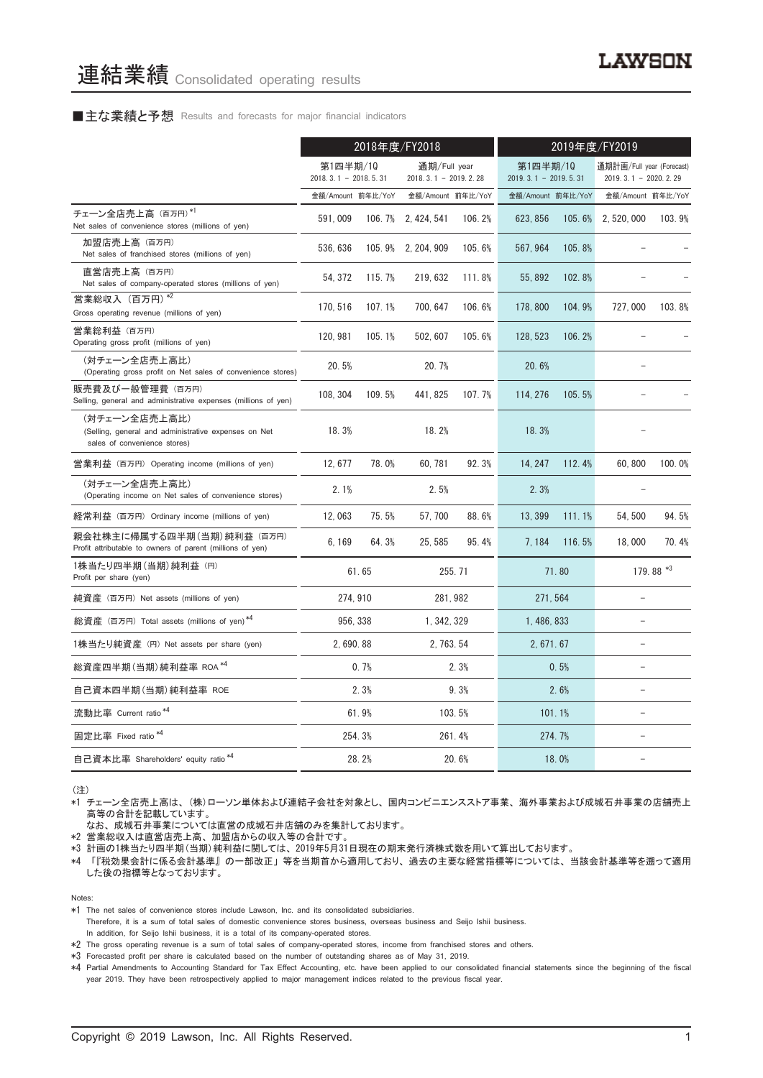### ■主な業績と予想 Results and forecasts for major financial indicators

|                                                                                                       | 2018年度/FY2018                      |        |                                        | 2019年度/FY2019 |                                    |        |                                                     |           |
|-------------------------------------------------------------------------------------------------------|------------------------------------|--------|----------------------------------------|---------------|------------------------------------|--------|-----------------------------------------------------|-----------|
|                                                                                                       | 第1四半期/10<br>$2018.3.1 - 2018.5.31$ |        | 通期/Full year<br>$2018.3.1 - 2019.2.28$ |               | 第1四半期/10<br>$2019.3.1 - 2019.5.31$ |        | 通期計画/Full year (Forecast)<br>$2019.3.1 - 2020.2.29$ |           |
|                                                                                                       | 金額/Amount 前年比/YoY                  |        | 金額/Amount 前年比/YoY                      |               | 金額/Amount 前年比/YoY                  |        | 金額/Amount 前年比/YoY                                   |           |
| チェーン全店売上高 (百万円)*1<br>Net sales of convenience stores (millions of yen)                                | 591,009                            |        | 106.7% 2.424.541                       | 106.2%        | 623, 856                           | 105.6% | 2, 520, 000                                         | 103.9%    |
| 加盟店売上高 (百万円)<br>Net sales of franchised stores (millions of yen)                                      | 536, 636                           |        | 105.9% 2, 204, 909                     | 105.6%        | 567, 964                           | 105.8% |                                                     |           |
| 直営店売上高 (百万円)<br>Net sales of company-operated stores (millions of yen)                                | 54, 372                            | 115.7% | 219, 632                               | 111.8%        | 55, 892                            | 102.8% |                                                     |           |
| 営業総収入 (百万円) *2<br>Gross operating revenue (millions of yen)                                           | 170, 516                           | 107.1% | 700, 647                               | 106.6%        | 178, 800                           | 104.9% | 727,000                                             | 103.8%    |
| 営業総利益 (百万円)<br>Operating gross profit (millions of yen)                                               | 120, 981                           | 105.1% | 502, 607                               | 105.6%        | 128, 523                           | 106.2% |                                                     |           |
| (対チェーン全店売上高比)<br>(Operating gross profit on Net sales of convenience stores)                          | 20.5%                              |        | 20.7%                                  |               | 20.6%                              |        |                                                     |           |
| 販売費及び一般管理費 (百万円)<br>Selling, general and administrative expenses (millions of yen)                    | 108, 304                           | 109.5% | 441, 825                               | 107.7%        | 114.276                            | 105.5% |                                                     |           |
| (対チェーン全店売上高比)<br>(Selling, general and administrative expenses on Net<br>sales of convenience stores) | 18.3%                              |        | 18.2%                                  |               | 18.3%                              |        |                                                     |           |
| 営業利益 (百万円) Operating income (millions of yen)                                                         | 12, 677                            | 78.0%  | 60.781                                 | 92.3%         | 14.247                             | 112.4% | 60,800                                              | 100.0%    |
| (対チェーン全店売上高比)<br>(Operating income on Net sales of convenience stores)                                | 2.1%                               |        | 2.5%                                   |               | 2.3%                               |        |                                                     |           |
| 経常利益 (百万円) Ordinary income (millions of yen)                                                          | 12,063                             | 75.5%  | 57.700                                 | 88.6%         | 13.399                             | 111.1% | 54.500                                              | 94.5%     |
| 親会社株主に帰属する四半期(当期)純利益 (百万円)<br>Profit attributable to owners of parent (millions of yen)               | 6, 169                             | 64.3%  | 25, 585                                | 95.4%         | 7, 184                             | 116.5% | 18,000                                              | 70.4%     |
| 1株当たり四半期 (当期) 純利益 (円)<br>Profit per share (yen)                                                       |                                    | 61.65  |                                        | 255.71        |                                    | 71.80  |                                                     | 179.88 *3 |
| 純資産 (百万円) Net assets (millions of yen)                                                                | 274.910                            |        | 281.982                                |               | 271, 564                           |        |                                                     |           |
| 総資産 (百万円) Total assets (millions of yen)*4                                                            | 956.338                            |        | 1.342.329                              |               | 1.486.833                          |        |                                                     |           |
| 1株当たり純資産 (円) Net assets per share (yen)                                                               | 2,690.88                           |        | 2, 763, 54                             |               | 2, 671, 67                         |        | ÷,                                                  |           |
| 総資産四半期(当期) 純利益率 ROA *4                                                                                |                                    | 0.7%   |                                        | 2.3%          |                                    | 0.5%   |                                                     |           |
| 自己資本四半期(当期) 純利益率 ROE                                                                                  |                                    | 2.3%   |                                        | 9.3%          |                                    | 2.6%   |                                                     |           |
| 流動比率 Current ratio <sup>*4</sup>                                                                      |                                    | 61.9%  |                                        | 103.5%        | 101.1%                             |        | $\overline{a}$                                      |           |
| 固定比率 Fixed ratio <sup>*4</sup>                                                                        |                                    | 254.3% |                                        | 261.4%        |                                    | 274.7% |                                                     |           |
| 自己資本比率 Shareholders' equity ratio*4                                                                   |                                    | 28.2%  |                                        | 20.6%         |                                    | 18.0%  |                                                     |           |

(注)

\*1 チェーン全店売上高は、 (株)ローソン単体および連結子会社を対象とし、 国内コンビニエンスストア事業、 海外事業および成城石井事業の店舗売上 高等の合計を記載しています。

なお、 成城石井事業については直営の成城石井店舗のみを集計しております。

\*2 営業総収入は直営店売上高、 加盟店からの収入等の合計です。

\*3 計画の1株当たり四半期(当期)純利益に関しては、 2019年5月31日現在の期末発行済株式数を用いて算出しております。

\*4 「『税効果会計に係る会計基準』 の一部改正」 等を当期首から適用しており、 過去の主要な経営指標等については、 当該会計基準等を遡って適用 した後の指標等となっております。

Notes:

Therefore, it is a sum of total sales of domestic convenience stores business, overseas business and Seijo Ishii business.

In addition, for Seijo Ishii business, it is a total of its company-operated stores.

\*2 The gross operating revenue is a sum of total sales of company-operated stores, income from franchised stores and others.

\*3 Forecasted profit per share is calculated based on the number of outstanding shares as of May 31, 2019.

\*4 Partial Amendments to Accounting Standard for Tax Effect Accounting, etc. have been applied to our consolidated financial statements since the beginning of the fiscal year 2019. They have been retrospectively applied to major management indices related to the previous fiscal year.

<sup>\*1</sup> The net sales of convenience stores include Lawson, Inc. and its consolidated subsidiaries.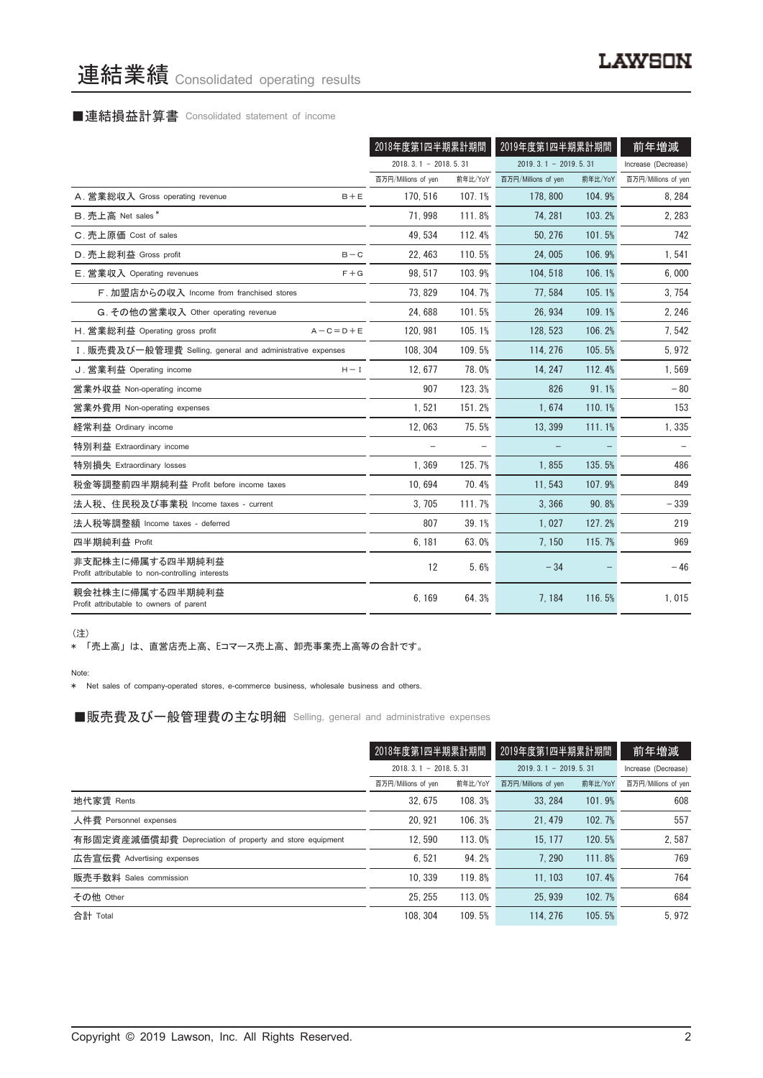# 連結業績 Consolidated operating results

# ■連結損益計算書 Consolidated statement of income

|                                                                      | 2018年度第1四半期累計期間        |         | 2019年度第1四半期累計期間        |         | 前年増減                |
|----------------------------------------------------------------------|------------------------|---------|------------------------|---------|---------------------|
|                                                                      | $2018.3.1 - 2018.5.31$ |         | $2019.3.1 - 2019.5.31$ |         | Increase (Decrease) |
|                                                                      | 百万円/Millions of yen    | 前年比/YoY | 百万円/Millions of yen    | 前年比/YoY | 百万円/Millions of yen |
| A. 営業総収入 Gross operating revenue<br>$B + E$                          | 170, 516               | 107.1%  | 178,800                | 104.9%  | 8, 284              |
| B. 売上高 Net sales*                                                    | 71,998                 | 111.8%  | 74.281                 | 103.2%  | 2, 283              |
| C. 売上原価 Cost of sales                                                | 49, 534                | 112.4%  | 50, 276                | 101.5%  | 742                 |
| D. 売上総利益 Gross profit<br>$B - C$                                     | 22, 463                | 110.5%  | 24,005                 | 106.9%  | 1,541               |
| E. 営業収入 Operating revenues<br>$F + G$                                | 98.517                 | 103.9%  | 104.518                | 106.1%  | 6,000               |
| F. 加盟店からの収入 Income from franchised stores                            | 73, 829                | 104.7%  | 77.584                 | 105.1%  | 3, 754              |
| G. その他の営業収入 Other operating revenue                                  | 24.688                 | 101.5%  | 26.934                 | 109.1%  | 2, 246              |
| H. 営業総利益 Operating gross profit<br>$A - C = D + E$                   | 120, 981               | 105.1%  | 128, 523               | 106.2%  | 7,542               |
| I. 販売費及び一般管理費 Selling, general and administrative expenses           | 108, 304               | 109.5%  | 114, 276               | 105.5%  | 5,972               |
| J. 営業利益 Operating income<br>$H - I$                                  | 12.677                 | 78.0%   | 14.247                 | 112.4%  | 1,569               |
| 営業外収益 Non-operating income                                           | 907                    | 123.3%  | 826                    | 91.1%   | $-80$               |
| 営業外費用 Non-operating expenses                                         | 1,521                  | 151.2%  | 1.674                  | 110.1%  | 153                 |
| 経常利益 Ordinary income                                                 | 12,063                 | 75.5%   | 13, 399                | 111.1%  | 1,335               |
| 特別利益 Extraordinary income                                            |                        |         |                        |         |                     |
| 特別損失 Extraordinary losses                                            | 1,369                  | 125.7%  | 1,855                  | 135.5%  | 486                 |
| 税金等調整前四半期純利益 Profit before income taxes                              | 10.694                 | 70.4%   | 11.543                 | 107.9%  | 849                 |
| 法人税、住民税及び事業税 Income taxes - current                                  | 3.705                  | 111.7%  | 3.366                  | 90.8%   | $-339$              |
| 法人税等調整額 Income taxes - deferred                                      | 807                    | 39.1%   | 1,027                  | 127.2%  | 219                 |
| 四半期純利益 Profit                                                        | 6,181                  | 63.0%   | 7.150                  | 115.7%  | 969                 |
| 非支配株主に帰属する四半期純利益<br>Profit attributable to non-controlling interests | 12                     | 5.6%    | $-34$                  |         | $-46$               |
| 親会社株主に帰属する四半期純利益<br>Profit attributable to owners of parent          | 6,169                  | 64.3%   | 7,184                  | 116.5%  | 1,015               |

(注)

\* 「売上高」 は、 直営店売上高、 Eコマース売上高、 卸売事業売上高等の合計です。

Note:

\* Net sales of company-operated stores, e-commerce business, wholesale business and others.

■販売費及び一般管理費の主な明細 Selling, general and administrative expenses

|                                                          | 2018年度第1四半期累計期間        |         | 2019年度第1四半期累計期間        |         | 前年増減                |
|----------------------------------------------------------|------------------------|---------|------------------------|---------|---------------------|
|                                                          | $2018.3.1 - 2018.5.31$ |         | $2019.3.1 - 2019.5.31$ |         | Increase (Decrease) |
|                                                          | 百万円/Millions of yen    | 前年比/YoY | 百万円/Millions of yen    | 前年比/YoY | 百万円/Millions of yen |
| 地代家賃 Rents                                               | 32.675                 | 108.3%  | 33, 284                | 101.9%  | 608                 |
| 人件費 Personnel expenses                                   | 20.921                 | 106.3%  | 21.479                 | 102.7%  | 557                 |
| 有形固定資産減価償却費 Depreciation of property and store equipment | 12.590                 | 113.0%  | 15.177                 | 120.5%  | 2,587               |
| 広告宣伝費 Advertising expenses                               | 6.521                  | 94.2%   | 7.290                  | 111.8%  | 769                 |
| 販売手数料 Sales commission                                   | 10.339                 | 119.8%  | 11.103                 | 107.4%  | 764                 |
| その他 Other                                                | 25.255                 | 113.0%  | 25.939                 | 102.7%  | 684                 |
| 合計 Total                                                 | 108.304                | 109.5%  | 114, 276               | 105.5%  | 5.972               |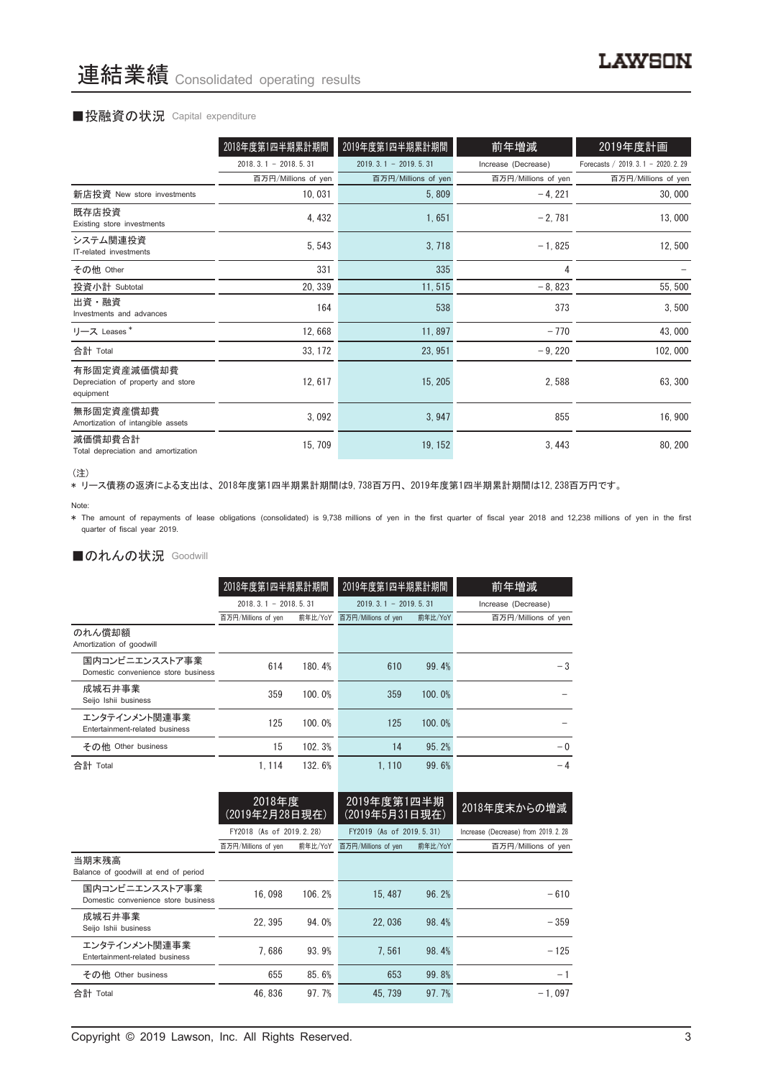### ■投融資の状況 Capital expenditure

|                                                                | 2018年度第1四半期累計期間        | 2019年度第1四半期累計期間        | 前年増減                | 2019年度計画                             |
|----------------------------------------------------------------|------------------------|------------------------|---------------------|--------------------------------------|
|                                                                | $2018.3.1 - 2018.5.31$ | $2019.3.1 - 2019.5.31$ | Increase (Decrease) | Forecasts / 2019. 3. 1 - 2020. 2. 29 |
|                                                                | 百万円/Millions of yen    | 百万円/Millions of yen    | 百万円/Millions of yen | 百万円/Millions of yen                  |
| 新店投資 New store investments                                     | 10,031                 | 5,809                  | $-4, 221$           | 30,000                               |
| 既存店投資<br>Existing store investments                            | 4, 432                 | 1,651                  | $-2,781$            | 13,000                               |
| システム関連投資<br>IT-related investments                             | 5, 543                 | 3,718                  | $-1,825$            | 12,500                               |
| その他 Other                                                      | 331                    | 335                    | 4                   |                                      |
| 投資小計 Subtotal                                                  | 20, 339                | 11,515                 | $-8,823$            | 55, 500                              |
| 出資・融資<br>Investments and advances                              | 164                    | 538                    | 373                 | 3,500                                |
| リース Leases*                                                    | 12,668                 | 11,897                 | $-770$              | 43,000                               |
| 合計 Total                                                       | 33, 172                | 23, 951                | $-9,220$            | 102,000                              |
| 有形固定資産減価償却費<br>Depreciation of property and store<br>equipment | 12, 617                | 15, 205                | 2,588               | 63, 300                              |
| 無形固定資産償却費<br>Amortization of intangible assets                 | 3,092                  | 3,947                  | 855                 | 16,900                               |
| 減価償却費合計<br>Total depreciation and amortization                 | 15, 709                | 19, 152                | 3,443               | 80, 200                              |

<sup>(</sup>注)

\* リース債務の返済による支出は、 2018年度第1四半期累計期間は9,738百万円、 2019年度第1四半期累計期間は12,238百万円です。

\* The amount of repayments of lease obligations (consolidated) is 9,738 millions of yen in the first quarter of fiscal year 2018 and 12,238 millions of yen in the first quarter of fiscal year 2019.

### ■のれんの状況 Goodwill

|                                                       | 2018年度第1四半期累計期間        |         | 2019年度第1四半期累計期間        |         | 前年増減                |  |
|-------------------------------------------------------|------------------------|---------|------------------------|---------|---------------------|--|
|                                                       | $2018.3.1 - 2018.5.31$ |         | $2019.3.1 - 2019.5.31$ |         | Increase (Decrease) |  |
|                                                       | 百万円/Millions of yen    | 前年比/YoY | 百万円/Millions of yen    | 前年比/YoY | 百万円/Millions of yen |  |
| のれん償却額<br>Amortization of goodwill                    |                        |         |                        |         |                     |  |
| 国内コンビニエンスストア事業<br>Domestic convenience store business | 614                    | 180.4%  | 610                    | 99.4%   | $-3$                |  |
| 成城石井事業<br>Seijo Ishii business                        | 359                    | 100.0%  | 359                    | 100.0%  |                     |  |
| エンタテインメント関連事業<br>Entertainment-related business       | 125                    | 100.0%  | 125                    | 100.0%  |                     |  |
| その他 Other business                                    | 15                     | 102.3%  | 14                     | 95.2%   | $-0$                |  |
| 合計 Total                                              | 1.114                  | 132.6%  | 1.110                  | 99.6%   | $-4$                |  |

|                                                       | 2018年度<br>(2019年2月28日現在) |         | 2019年度第1四半期<br>(2019年5月31日現在) |         | 2018年度末からの増減                         |
|-------------------------------------------------------|--------------------------|---------|-------------------------------|---------|--------------------------------------|
|                                                       | FY2018 (As of 2019.2.28) |         | FY2019 (As of 2019, 5, 31)    |         | Increase (Decrease) from 2019, 2, 28 |
|                                                       | 百万円/Millions of yen      | 前年比/YoY | 百万円/Millions of yen           | 前年比/YoY | 百万円/Millions of yen                  |
| 当期末残高<br>Balance of goodwill at end of period         |                          |         |                               |         |                                      |
| 国内コンビニエンスストア事業<br>Domestic convenience store business | 16.098                   | 106.2%  | 15, 487                       | 96.2%   | $-610$                               |
| 成城石井事業<br>Seijo Ishii business                        | 22.395                   | 94.0%   | 22,036                        | 98.4%   | $-359$                               |
| エンタテインメント関連事業<br>Entertainment-related business       | 7.686                    | 93.9%   | 7.561                         | 98.4%   | $-125$                               |
| その他 Other business                                    | 655                      | 85.6%   | 653                           | 99.8%   | $-1$                                 |
| 合計 Total                                              | 46.836                   | 97.7%   | 45.739                        | 97.7%   | $-1.097$                             |

Note: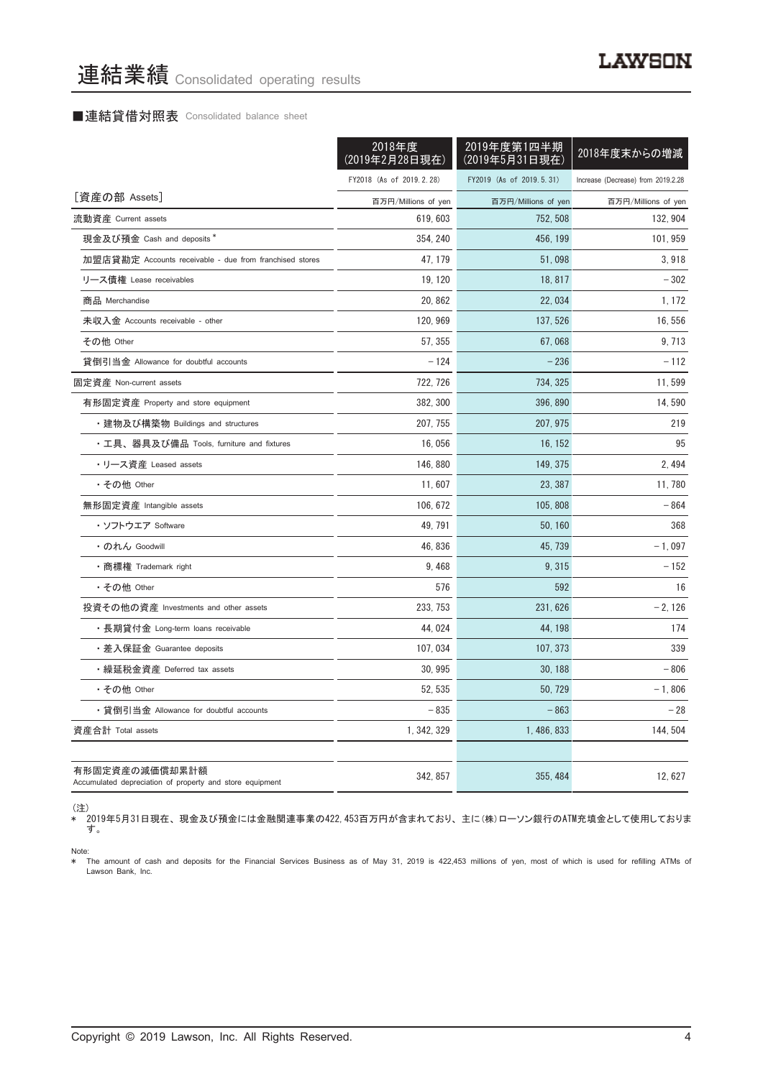### ■連結貸借対照表 Consolidated balance sheet

|                                                                            | 2018年度<br>(2019年2月28日現在) | 2019年度第1四半期<br>(2019年5月31日現在) | 2018年度末からの増減                       |
|----------------------------------------------------------------------------|--------------------------|-------------------------------|------------------------------------|
|                                                                            | FY2018 (As of 2019.2.28) | FY2019 (As of 2019.5.31)      | Increase (Decrease) from 2019.2.28 |
| [資産の部 Assets]                                                              | 百万円/Millions of yen      | 百万円/Millions of yen           | 百万円/Millions of yen                |
| 流動資産 Current assets                                                        | 619, 603                 | 752, 508                      | 132, 904                           |
| 現金及び預金 Cash and deposits *                                                 | 354, 240                 | 456, 199                      | 101, 959                           |
| 加盟店貸勘定 Accounts receivable - due from franchised stores                    | 47, 179                  | 51,098                        | 3,918                              |
| リース債権 Lease receivables                                                    | 19, 120                  | 18, 817                       | $-302$                             |
| 商品 Merchandise                                                             | 20, 862                  | 22, 034                       | 1, 172                             |
| 未収入金 Accounts receivable - other                                           | 120, 969                 | 137, 526                      | 16, 556                            |
| その他 Other                                                                  | 57, 355                  | 67.068                        | 9, 713                             |
| 貸倒引当金 Allowance for doubtful accounts                                      | $-124$                   | $-236$                        | $-112$                             |
| 固定資産 Non-current assets                                                    | 722, 726                 | 734, 325                      | 11,599                             |
| 有形固定資産 Property and store equipment                                        | 382, 300                 | 396, 890                      | 14,590                             |
| ・建物及び構築物 Buildings and structures                                          | 207, 755                 | 207, 975                      | 219                                |
| ・工具、器具及び備品 Tools, furniture and fixtures                                   | 16,056                   | 16, 152                       | 95                                 |
| •リース資産 Leased assets                                                       | 146, 880                 | 149, 375                      | 2,494                              |
| ・その他 Other                                                                 | 11,607                   | 23, 387                       | 11,780                             |
| 無形固定資産 Intangible assets                                                   | 106, 672                 | 105, 808                      | $-864$                             |
| ・ソフトウエア Software                                                           | 49, 791                  | 50, 160                       | 368                                |
| ・のれん Goodwill                                                              | 46, 836                  | 45, 739                       | $-1,097$                           |
| ・商標権 Trademark right                                                       | 9,468                    | 9, 315                        | $-152$                             |
| ・その他 Other                                                                 | 576                      | 592                           | 16                                 |
| 投資その他の資産 Investments and other assets                                      | 233, 753                 | 231, 626                      | $-2, 126$                          |
| ・長期貸付金 Long-term loans receivable                                          | 44, 024                  | 44, 198                       | 174                                |
| ・差入保証金 Guarantee deposits                                                  | 107, 034                 | 107, 373                      | 339                                |
| ・繰延税金資産 Deferred tax assets                                                | 30, 995                  | 30, 188                       | $-806$                             |
| ・その他 Other                                                                 | 52.535                   | 50.729                        | $-1,806$                           |
| ・貸倒引当金 Allowance for doubtful accounts                                     | $-835$                   | $-863$                        | - 28                               |
| 資産合計 Total assets                                                          | 1, 342, 329              | 1, 486, 833                   | 144, 504                           |
| 有形固定資産の減価償却累計額<br>Accumulated depreciation of property and store equipment | 342, 857                 | 355, 484                      | 12, 627                            |

(注)

\* 2019年5月31日現在、 現金及び預金には金融関連事業の422,453百万円が含まれており、 主に(株)ローソン銀行のATM充填金として使用しておりま す。

Note:<br>\* The amount of cash and deposits for the Financial Services Business as of May 31, 2019 is 422,453 millions of yen, most of which is used for refilling ATMs ot Lawson Bank, Inc.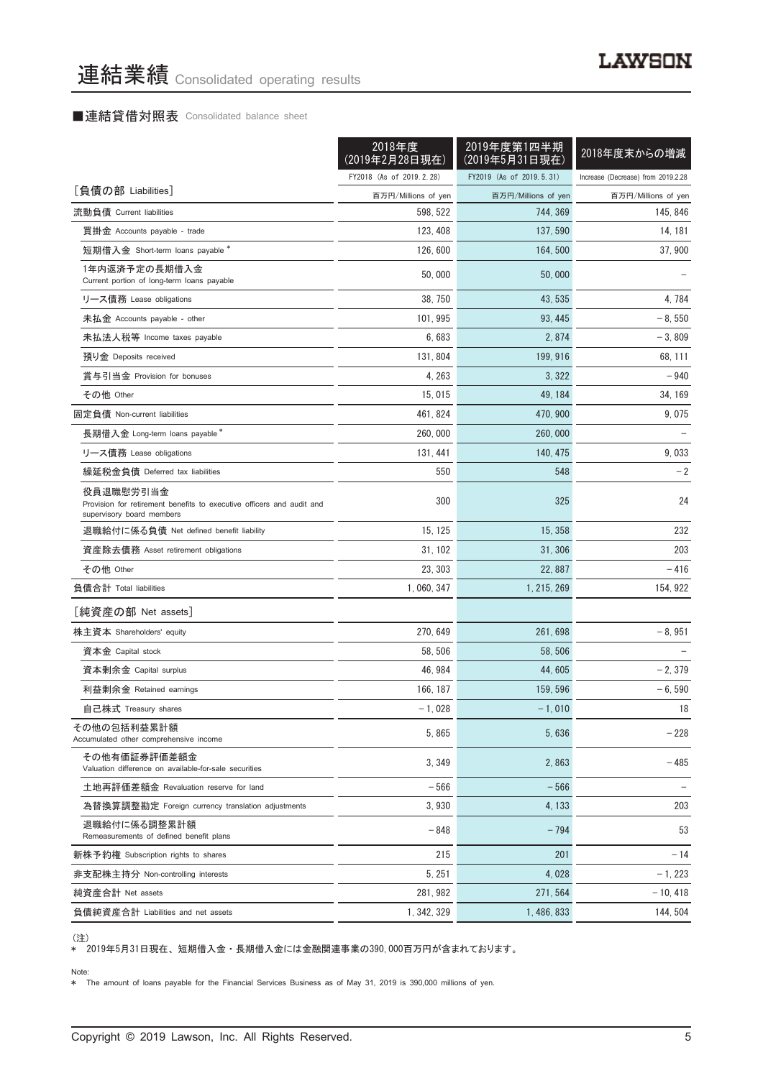# ■連結貸借対照表 Consolidated balance sheet

|                                                                                                                 | 2018年度<br>(2019年2月28日現在) | 2019年度第1四半期<br>(2019年5月31日現在) | 2018年度末からの増減                       |
|-----------------------------------------------------------------------------------------------------------------|--------------------------|-------------------------------|------------------------------------|
|                                                                                                                 | FY2018 (As of 2019.2.28) | FY2019 (As of 2019.5.31)      | Increase (Decrease) from 2019.2.28 |
| [負債の部 Liabilities]                                                                                              | 百万円/Millions of yen      | 百万円/Millions of yen           | 百万円/Millions of yen                |
| 流動負債 Current liabilities                                                                                        | 598, 522                 | 744, 369                      | 145, 846                           |
| 買掛金 Accounts payable - trade                                                                                    | 123, 408                 | 137, 590                      | 14, 181                            |
| 短期借入金 Short-term loans payable *                                                                                | 126, 600                 | 164, 500                      | 37, 900                            |
| 1年内返済予定の長期借入金<br>Current portion of long-term loans payable                                                     | 50,000                   | 50,000                        |                                    |
| リース債務 Lease obligations                                                                                         | 38, 750                  | 43, 535                       | 4, 784                             |
| 未払金 Accounts payable - other                                                                                    | 101, 995                 | 93, 445                       | $-8,550$                           |
| 未払法人税等 Income taxes payable                                                                                     | 6,683                    | 2,874                         | $-3,809$                           |
| 預り金 Deposits received                                                                                           | 131, 804                 | 199, 916                      | 68, 111                            |
| 賞与引当金 Provision for bonuses                                                                                     | 4, 263                   | 3, 322                        | - 940                              |
| その他 Other                                                                                                       | 15,015                   | 49.184                        | 34, 169                            |
| 固定負債 Non-current liabilities                                                                                    | 461, 824                 | 470.900                       | 9,075                              |
| 長期借入金 Long-term loans payable*                                                                                  | 260, 000                 | 260,000                       |                                    |
| リース債務 Lease obligations                                                                                         | 131, 441                 | 140, 475                      | 9,033                              |
| 繰延税金負債 Deferred tax liabilities                                                                                 | 550                      | 548                           | $-2$                               |
| 役員退職慰労引当金<br>Provision for retirement benefits to executive officers and audit and<br>supervisory board members | 300                      | 325                           | 24                                 |
| 退職給付に係る負債 Net defined benefit liability                                                                         | 15, 125                  | 15, 358                       | 232                                |
| 資産除去債務 Asset retirement obligations                                                                             | 31, 102                  | 31, 306                       | 203                                |
| その他 Other                                                                                                       | 23, 303                  | 22, 887                       | -416                               |
| 負債合計 Total liabilities                                                                                          | 1, 060, 347              | 1, 215, 269                   | 154, 922                           |
| [純資産の部 Net assets]                                                                                              |                          |                               |                                    |
| 株主資本 Shareholders' equity                                                                                       | 270, 649                 | 261, 698                      | $-8,951$                           |
| 資本金 Capital stock                                                                                               | 58, 506                  | 58, 506                       |                                    |
| 資本剰余金 Capital surplus                                                                                           | 46, 984                  | 44, 605                       | $-2, 379$                          |
| 利益剰余金 Retained earnings                                                                                         | 166, 187                 | 159, 596                      | $-6,590$                           |
| 自己株式 Treasury shares                                                                                            | $-1,028$                 | $-1,010$                      | 18                                 |
| その他の包括利益累計額<br>Accumulated other comprehensive income                                                           | 5,865                    | 5,636                         | $-228$                             |
| その他有価証券評価差額金<br>Valuation difference on available-for-sale securities                                           | 3, 349                   | 2,863                         | - 485                              |
| 土地再評価差額金 Revaluation reserve for land                                                                           | $-566$                   | $-566$                        |                                    |
| 為替換算調整勘定 Foreign currency translation adjustments                                                               | 3,930                    | 4, 133                        | 203                                |
| 退職給付に係る調整累計額<br>Remeasurements of defined benefit plans                                                         | $-848$                   | $-794$                        | 53                                 |
| 新株予約権 Subscription rights to shares                                                                             | 215                      | 201                           | $-14$                              |
| 非支配株主持分 Non-controlling interests                                                                               | 5, 251                   | 4,028                         | $-1, 223$                          |
| 純資産合計 Net assets                                                                                                | 281, 982                 | 271, 564                      | $-10, 418$                         |
| 負債純資産合計 Liabilities and net assets                                                                              | 1, 342, 329              | 1, 486, 833                   | 144, 504                           |

<sup>(</sup>注)

\* 2019年5月31日現在、 短期借入金 ・ 長期借入金には金融関連事業の390,000百万円が含まれております。

#### Note:

\* The amount of loans payable for the Financial Services Business as of May 31, 2019 is 390,000 millions of yen.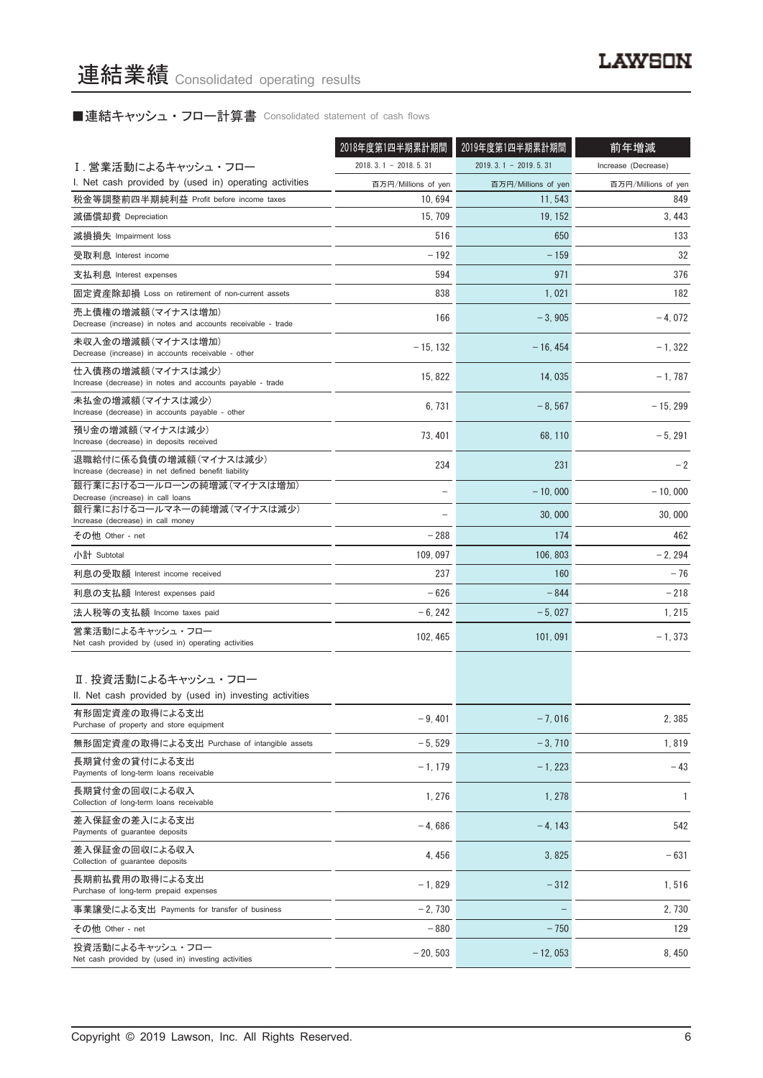# ■連結キャッシュ・フロー計算書 Consolidated statement of cash flows

|                                                                                   | 2018年度第1四半期累計期間        | 2019年度第1四半期累計期間        | 前年増減                |
|-----------------------------------------------------------------------------------|------------------------|------------------------|---------------------|
| I.営業活動によるキャッシュ・フロー                                                                | $2018.3.1 - 2018.5.31$ | $2019.3.1 - 2019.5.31$ | Increase (Decrease) |
| I. Net cash provided by (used in) operating activities                            | 百万円/Millions of yen    | 百万円/Millions of yen    | 百万円/Millions of yen |
| 税金等調整前四半期純利益 Profit before income taxes                                           | 10,694                 | 11, 543                | 849                 |
| 減価償却費 Depreciation                                                                | 15, 709                | 19, 152                | 3, 443              |
| 減損損失 Impairment loss                                                              | 516                    | 650                    | 133                 |
| 受取利息 Interest income                                                              | $-192$                 | $-159$                 | 32                  |
| 支払利息 Interest expenses                                                            | 594                    | 971                    | 376                 |
| 固定資産除却損 Loss on retirement of non-current assets                                  | 838                    | 1,021                  | 182                 |
| 売上債権の増減額(マイナスは増加)<br>Decrease (increase) in notes and accounts receivable - trade | 166                    | $-3,905$               | $-4,072$            |
| 未収入金の増減額(マイナスは増加)<br>Decrease (increase) in accounts receivable - other           | $-15, 132$             | $-16, 454$             | $-1, 322$           |
| 仕入債務の増減額(マイナスは減少)<br>Increase (decrease) in notes and accounts payable - trade    | 15, 822                | 14,035                 | $-1,787$            |
| 未払金の増減額(マイナスは減少)<br>Increase (decrease) in accounts payable - other               | 6,731                  | $-8.567$               | $-15.299$           |
| 預り金の増減額 (マイナスは減少)<br>Increase (decrease) in deposits received                     | 73, 401                | 68, 110                | $-5, 291$           |
| 退職給付に係る負債の増減額(マイナスは減少)<br>Increase (decrease) in net defined benefit liability    | 234                    | 231                    | $-2$                |
| 銀行業におけるコールローンの純増減(マイナスは増加)<br>Decrease (increase) in call loans                   |                        | $-10,000$              | $-10,000$           |
| 銀行業におけるコールマネーの純増減(マイナスは減少)<br>Increase (decrease) in call money                   |                        | 30,000                 | 30,000              |
| その他 Other - net                                                                   | $-288$                 | 174                    | 462                 |
| 小計 Subtotal                                                                       | 109, 097               | 106, 803               | $-2, 294$           |
| 利息の受取額 Interest income received                                                   | 237                    | 160                    | $-76$               |
| 利息の支払額 Interest expenses paid                                                     | $-626$                 | $-844$                 | $-218$              |
| 法人税等の支払額 Income taxes paid                                                        | $-6, 242$              | $-5,027$               | 1, 215              |
| 営業活動によるキャッシュ・フロー<br>Net cash provided by (used in) operating activities           | 102, 465               | 101,091                | $-1, 373$           |
| Ⅱ. 投資活動によるキャッシュ・フロー<br>II. Net cash provided by (used in) investing activities    |                        |                        |                     |
| 有形固定資産の取得による支出<br>Purchase of property and store equipment                        | $-9,401$               | $-7,016$               | 2,385               |
| 無形固定資産の取得による支出 Purchase of intangible assets                                      | $-5,529$               | $-3,710$               | 1,819               |
| 長期貸付金の貸付による支出<br>Payments of long-term loans receivable                           | $-1, 179$              | $-1, 223$              | $-43$               |
| 長期貸付金の回収による収入<br>Collection of long-term loans receivable                         | 1,276                  | 1,278                  | 1                   |
| 差入保証金の差入による支出<br>Payments of guarantee deposits                                   | $-4,686$               | $-4, 143$              | 542                 |
| 差入保証金の回収による収入<br>Collection of guarantee deposits                                 | 4,456                  | 3,825                  | $-631$              |
| 長期前払費用の取得による支出<br>Purchase of long-term prepaid expenses                          | $-1,829$               | $-312$                 | 1,516               |
| 事業譲受による支出 Payments for transfer of business                                       | $-2,730$               |                        | 2,730               |
| その他 Other - net                                                                   | $-880$                 | $-750$                 | 129                 |
| 投資活動によるキャッシュ・フロー<br>Net cash provided by (used in) investing activities           | $-20, 503$             | $-12,053$              | 8,450               |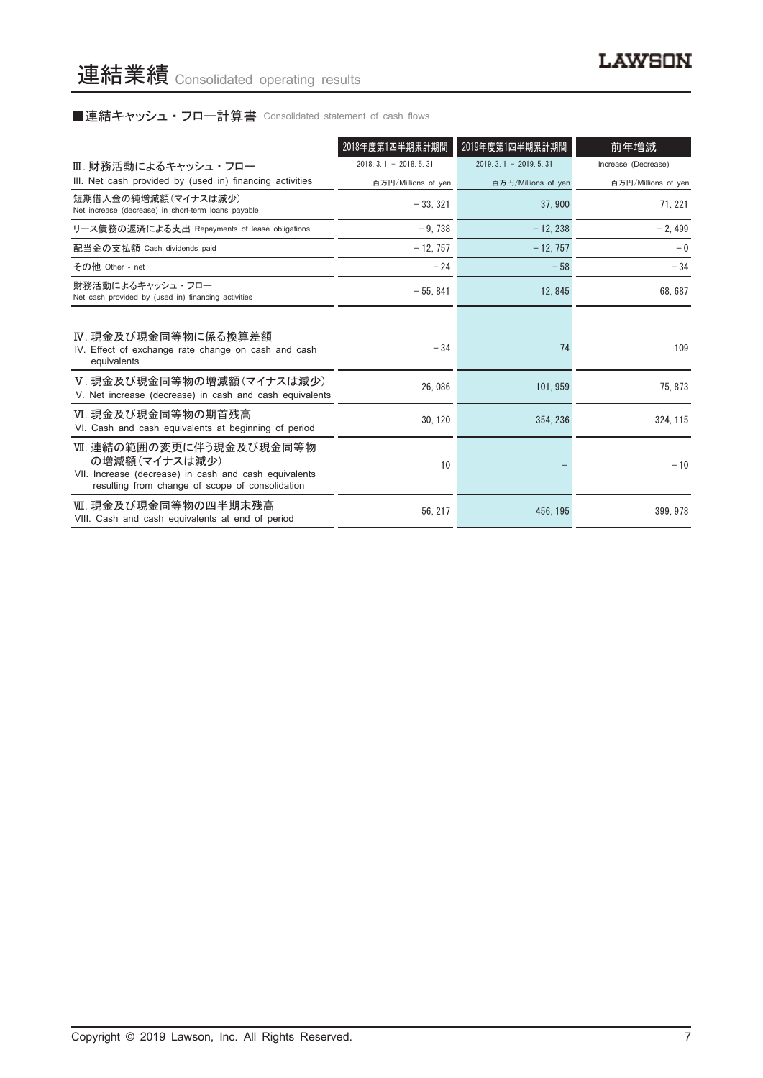# ■連結キャッシュ・フロー計算書 Consolidated statement of cash flows

|                                                                                                                                                      | 2018年度第1四半期累計期間            | 2019年度第1四半期累計期間        | 前年増減                |
|------------------------------------------------------------------------------------------------------------------------------------------------------|----------------------------|------------------------|---------------------|
| Ⅲ. 財務活動によるキャッシュ・フロー                                                                                                                                  | $2018, 3, 1 - 2018, 5, 31$ | $2019.3.1 - 2019.5.31$ | Increase (Decrease) |
| III. Net cash provided by (used in) financing activities                                                                                             | 百万円/Millions of yen        | 百万円/Millions of yen    | 百万円/Millions of yen |
| 短期借入金の純増減額(マイナスは減少)<br>Net increase (decrease) in short-term loans payable                                                                           | $-33.321$                  | 37.900                 | 71.221              |
| リース債務の返済による支出 Repayments of lease obligations                                                                                                        | $-9.738$                   | $-12.238$              | $-2,499$            |
| 配当金の支払額 Cash dividends paid                                                                                                                          | $-12.757$                  | $-12.757$              | $-0$                |
| その他 Other - net                                                                                                                                      | $-24$                      | $-58$                  | $-34$               |
| 財務活動によるキャッシュ・フロー<br>Net cash provided by (used in) financing activities                                                                              | $-55,841$                  | 12, 845                | 68, 687             |
| Ⅳ. 現金及び現金同等物に係る換算差額<br>IV. Effect of exchange rate change on cash and cash<br>equivalents                                                            | $-34$                      | 74                     | 109                 |
| V.現金及び現金同等物の増減額(マイナスは減少)<br>V. Net increase (decrease) in cash and cash equivalents                                                                  | 26.086                     | 101.959                | 75.873              |
| Ⅵ. 現金及び現金同等物の期首残高<br>VI. Cash and cash equivalents at beginning of period                                                                            | 30.120                     | 354.236                | 324, 115            |
| Ⅶ. 連結の範囲の変更に伴う現金及び現金同等物<br>の増減額(マイナスは減少)<br>VII. Increase (decrease) in cash and cash equivalents<br>resulting from change of scope of consolidation | 10                         |                        | $-10$               |
| Ⅷ. 現金及び現金同等物の四半期末残高<br>VIII. Cash and cash equivalents at end of period                                                                              | 56.217                     | 456, 195               | 399.978             |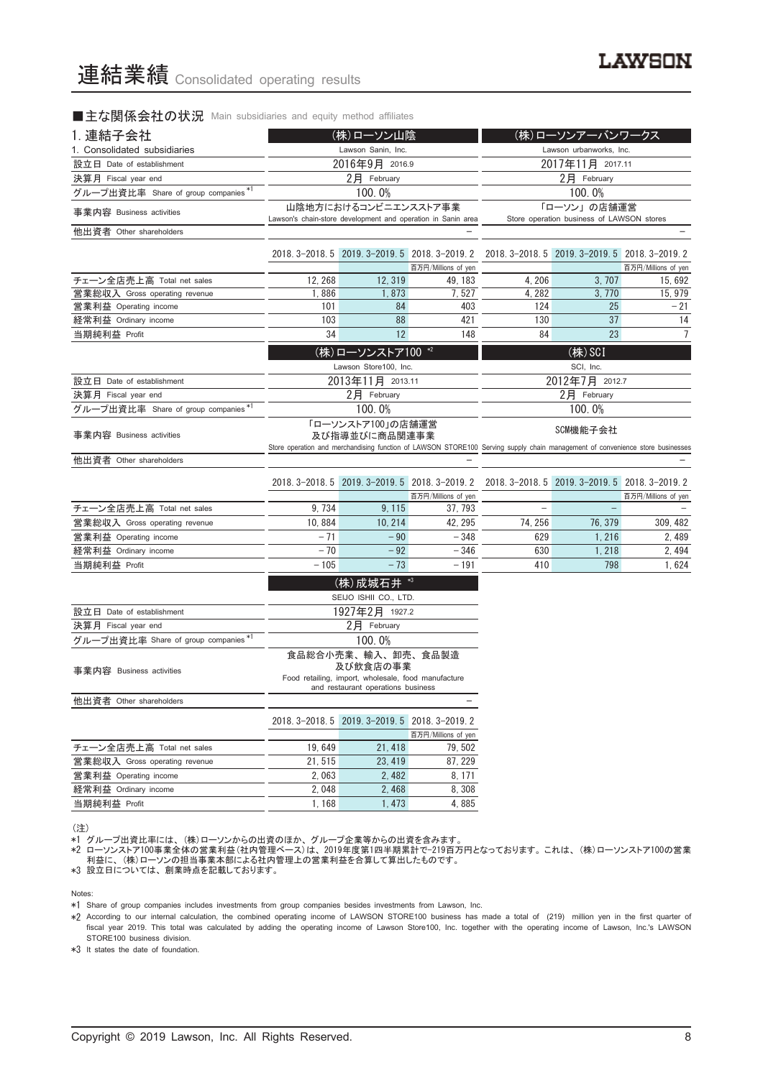■主な関係会社の状況 Main subsidiaries and equity method affiliates

| 1. 連結子会社                             | (株)ローソン山陰                                                                                                                                                                       |                                                                                                                             |                                                              | (株)ローソンアーバンワークス  |                                                          |                                |
|--------------------------------------|---------------------------------------------------------------------------------------------------------------------------------------------------------------------------------|-----------------------------------------------------------------------------------------------------------------------------|--------------------------------------------------------------|------------------|----------------------------------------------------------|--------------------------------|
| 1. Consolidated subsidiaries         |                                                                                                                                                                                 | Lawson Sanin, Inc.                                                                                                          |                                                              |                  | Lawson urbanworks, Inc.                                  |                                |
| 設立日 Date of establishment            |                                                                                                                                                                                 | 2016年9月 2016.9                                                                                                              |                                                              | 2017年11月 2017.11 |                                                          |                                |
| 決算月 Fiscal year end                  |                                                                                                                                                                                 | 2月 February                                                                                                                 |                                                              | 2月 February      |                                                          |                                |
| グループ出資比率 Share of group companies*1  |                                                                                                                                                                                 | 100.0%                                                                                                                      |                                                              |                  | 100.0%                                                   |                                |
| 事業内容 Business activities             |                                                                                                                                                                                 | 山陰地方におけるコンビニエンスストア事業                                                                                                        | Lawson's chain-store development and operation in Sanin area |                  | 「ローソン」の店舗運営<br>Store operation business of LAWSON stores |                                |
| 他出資者 Other shareholders              |                                                                                                                                                                                 |                                                                                                                             |                                                              |                  |                                                          |                                |
|                                      |                                                                                                                                                                                 |                                                                                                                             |                                                              |                  |                                                          |                                |
|                                      |                                                                                                                                                                                 | 2018. 3-2018. 5 2019. 3-2019. 5 2018. 3-2019. 2                                                                             |                                                              |                  | 2018. 3-2018. 5 2019. 3-2019. 5 2018. 3-2019. 2          |                                |
| チェーン全店売上高 Total net sales            | 12, 268                                                                                                                                                                         | 12, 319                                                                                                                     | 百万円/Millions of yen<br>49, 183                               | 4, 206           | 3, 707                                                   | 百万円/Millions of yen<br>15, 692 |
| 営業総収入 Gross operating revenue        | 1,886                                                                                                                                                                           | 1,873                                                                                                                       | 7,527                                                        | 4, 282           | 3,770                                                    | 15, 979                        |
| 営業利益 Operating income                | 101                                                                                                                                                                             | 84                                                                                                                          | 403                                                          | 124              | 25                                                       | $-21$                          |
| 経常利益 Ordinary income                 | 103                                                                                                                                                                             | 88                                                                                                                          | 421                                                          | 130              | 37                                                       | 14                             |
| 当期純利益 Profit                         | 34                                                                                                                                                                              | 12                                                                                                                          | 148                                                          | 84               | 23                                                       | 7                              |
|                                      |                                                                                                                                                                                 |                                                                                                                             |                                                              |                  |                                                          |                                |
|                                      |                                                                                                                                                                                 | (株)ローソンストア100 *2                                                                                                            |                                                              |                  | (株) SCI                                                  |                                |
|                                      |                                                                                                                                                                                 | Lawson Store100, Inc.                                                                                                       |                                                              |                  | SCI, Inc.                                                |                                |
| 設立日 Date of establishment            |                                                                                                                                                                                 | 2013年11月 2013.11                                                                                                            |                                                              |                  | 2012年7月 2012.7                                           |                                |
| 決算月 Fiscal year end                  |                                                                                                                                                                                 | 2月 February                                                                                                                 |                                                              |                  | $2$ 月 February                                           |                                |
| グループ出資比率 Share of group companies *1 |                                                                                                                                                                                 | 100.0%                                                                                                                      |                                                              |                  | 100.0%                                                   |                                |
| 事業内容 Business activities             | 「ローソンストア100」の店舗運営<br>SCM機能子会社<br>及び指導並びに商品関連事業<br>Store operation and merchandising function of LAWSON STORE100 Serving supply chain management of convenience store businesses |                                                                                                                             |                                                              |                  |                                                          |                                |
|                                      |                                                                                                                                                                                 |                                                                                                                             |                                                              |                  |                                                          |                                |
| 他出資者 Other shareholders              |                                                                                                                                                                                 |                                                                                                                             |                                                              |                  |                                                          |                                |
|                                      |                                                                                                                                                                                 | 2018. 3-2018. 5 2019. 3-2019. 5 2018. 3-2019. 2                                                                             |                                                              |                  | 2018. 3-2018. 5 2019. 3-2019. 5 2018. 3-2019. 2          |                                |
|                                      |                                                                                                                                                                                 |                                                                                                                             | 百万円/Millions of yen                                          |                  |                                                          | 百万円/Millions of yen            |
| チェーン全店売上高 Total net sales            | 9, 734                                                                                                                                                                          | 9, 115                                                                                                                      | 37, 793                                                      |                  |                                                          |                                |
| 営業総収入 Gross operating revenue        | 10,884                                                                                                                                                                          | 10, 214                                                                                                                     | 42, 295                                                      | 74, 256          | 76, 379                                                  | 309, 482                       |
| 営業利益 Operating income                | $-71$                                                                                                                                                                           | $-90$                                                                                                                       | $-348$                                                       | 629              | 1, 216                                                   | 2, 489                         |
| 経常利益 Ordinary income                 | $-70$                                                                                                                                                                           | $-92$                                                                                                                       | $-346$                                                       | 630              | 1, 218                                                   | 2, 494                         |
| 当期純利益 Profit                         | $-105$                                                                                                                                                                          | $-73$                                                                                                                       | $-191$                                                       | 410              | 798                                                      | 1,624                          |
|                                      |                                                                                                                                                                                 |                                                                                                                             |                                                              |                  |                                                          |                                |
|                                      |                                                                                                                                                                                 | (株) 成城石井 *3                                                                                                                 |                                                              |                  |                                                          |                                |
|                                      |                                                                                                                                                                                 | SEIJO ISHII CO., LTD.                                                                                                       |                                                              |                  |                                                          |                                |
| 設立日 Date of establishment            |                                                                                                                                                                                 | 1927年2月 1927.2                                                                                                              |                                                              |                  |                                                          |                                |
| 決算月 Fiscal year end                  |                                                                                                                                                                                 | 2月 February                                                                                                                 |                                                              |                  |                                                          |                                |
| グループ出資比率 Share of group companies*1  |                                                                                                                                                                                 | 100.0%                                                                                                                      |                                                              |                  |                                                          |                                |
| 事業内容 Business activities             |                                                                                                                                                                                 | 食品総合小売業、輸入、卸売、食品製造<br>及び飲食店の事業<br>Food retailing, import, wholesale, food manufacture<br>and restaurant operations business |                                                              |                  |                                                          |                                |
| 他出資者 Other shareholders              |                                                                                                                                                                                 |                                                                                                                             |                                                              |                  |                                                          |                                |
|                                      |                                                                                                                                                                                 |                                                                                                                             |                                                              |                  |                                                          |                                |
|                                      |                                                                                                                                                                                 | 2018. 3-2018. 5 2019. 3-2019. 5 2018. 3-2019. 2                                                                             |                                                              |                  |                                                          |                                |
|                                      | 19,649                                                                                                                                                                          | 21, 418                                                                                                                     | 百万円/Millions of yen<br>79,502                                |                  |                                                          |                                |
| チェーン全店売上高 Total net sales            |                                                                                                                                                                                 |                                                                                                                             |                                                              |                  |                                                          |                                |
| 営業総収入 Gross operating revenue        | 21, 515                                                                                                                                                                         | 23, 419                                                                                                                     | 87, 229                                                      |                  |                                                          |                                |
| 営業利益 Operating income                | 2,063                                                                                                                                                                           | 2,482                                                                                                                       | 8, 171                                                       |                  |                                                          |                                |
| 経常利益 Ordinary income                 | 2,048                                                                                                                                                                           | 2,468                                                                                                                       | 8,308                                                        |                  |                                                          |                                |
| 当期純利益 Profit                         | 1,168                                                                                                                                                                           | 1,473                                                                                                                       | 4,885                                                        |                  |                                                          |                                |

<sup>(</sup>注)

\*1 グループ出資比率には、 (株)ローソンからの出資のほか、 グループ企業等からの出資を含みます。

\*2 ローソンストア100事業全体の営業利益(社内管理ベース)は、 2019年度第1四半期累計で-219百万円となっております。 これは、 (株)ローソンストア100の営業 利益に、 (株)ローソンの担当事業本部による社内管理上の営業利益を合算して算出したものです。

\*3 設立日については、 創業時点を記載しております。

Notes:

\*1 Share of group companies includes investments from group companies besides investments from Lawson, Inc.

\*2 According to our internal calculation, the combined operating income of LAWSON STORE100 business has made a total of (219) million yen in the first quarter of fiscal year 2019. This total was calculated by adding the operating income of Lawson Store100, Inc. together with the operating income of Lawson, Inc.'s LAWSON STORE100 business division.

\*3 It states the date of foundation.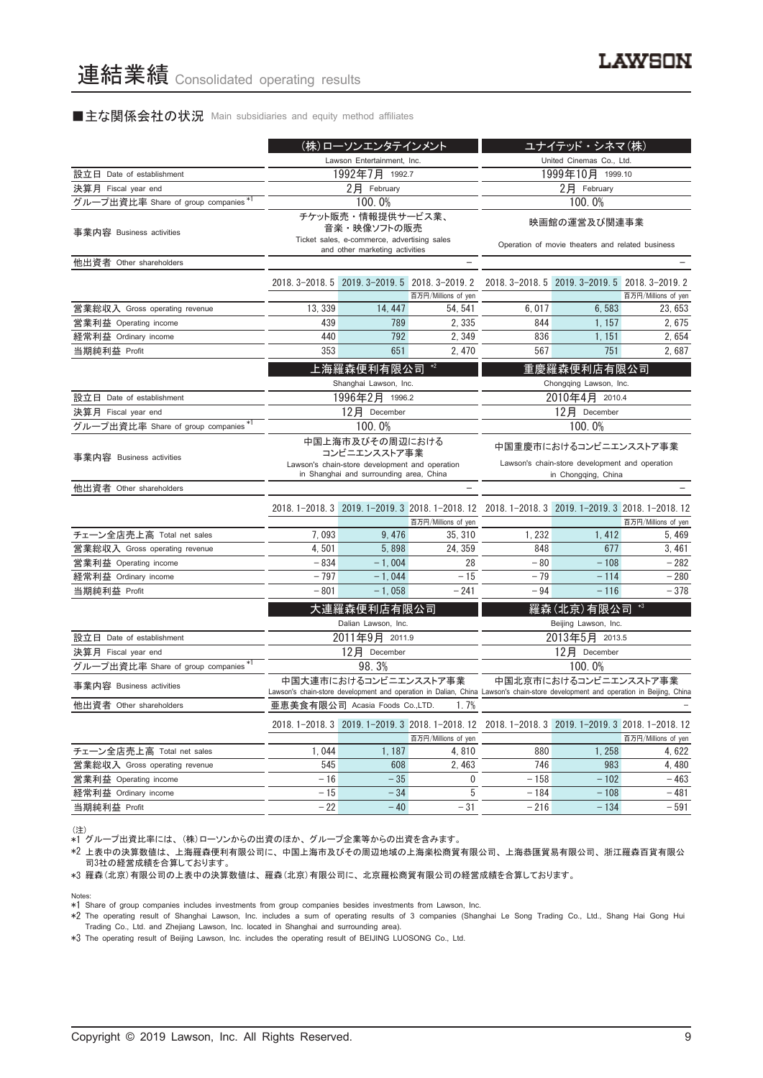### ■主な関係会社の状況 Main subsidiaries and equity method affiliates

|                                      | (株)ローソンエンタテインメント                                                                                                                                                                                                               |                                                                                                                   |                                                                        | ユナイテッド・シネマ(株)                                                                                                                    |                                                 |                     |
|--------------------------------------|--------------------------------------------------------------------------------------------------------------------------------------------------------------------------------------------------------------------------------|-------------------------------------------------------------------------------------------------------------------|------------------------------------------------------------------------|----------------------------------------------------------------------------------------------------------------------------------|-------------------------------------------------|---------------------|
|                                      | Lawson Entertainment, Inc.                                                                                                                                                                                                     |                                                                                                                   |                                                                        |                                                                                                                                  | United Cinemas Co., Ltd.                        |                     |
| 設立日 Date of establishment            |                                                                                                                                                                                                                                | 1992年7月 1992.7                                                                                                    |                                                                        | 1999年10月 1999.10                                                                                                                 |                                                 |                     |
| 決算月 Fiscal year end                  | $2$ 月 February                                                                                                                                                                                                                 |                                                                                                                   |                                                                        | $2$ 月 February                                                                                                                   |                                                 |                     |
| グループ出資比率 Share of group companies*1  |                                                                                                                                                                                                                                | 100.0%                                                                                                            |                                                                        |                                                                                                                                  | 100.0%                                          |                     |
| 事業内容 Business activities             |                                                                                                                                                                                                                                | チケット販売・情報提供サービス業、<br>音楽・映像ソフトの販売<br>Ticket sales, e-commerce, advertising sales<br>and other marketing activities |                                                                        | 映画館の運営及び関連事業<br>Operation of movie theaters and related business                                                                 |                                                 |                     |
| 他出資者 Other shareholders              |                                                                                                                                                                                                                                |                                                                                                                   |                                                                        |                                                                                                                                  |                                                 |                     |
|                                      |                                                                                                                                                                                                                                |                                                                                                                   | 2018. 3-2018. 5 2019. 3-2019. 5 2018. 3-2019. 2<br>百万円/Millions of yen |                                                                                                                                  | 2018. 3-2018. 5 2019. 3-2019. 5 2018. 3-2019. 2 | 百万円/Millions of yen |
| 営業総収入 Gross operating revenue        | 13, 339                                                                                                                                                                                                                        | 14, 447                                                                                                           | 54, 541                                                                | 6,017                                                                                                                            | 6,583                                           | 23.653              |
| 営業利益 Operating income                | 439                                                                                                                                                                                                                            | 789                                                                                                               | 2, 335                                                                 | 844                                                                                                                              | 1, 157                                          | 2,675               |
| 経常利益 Ordinary income                 | 440                                                                                                                                                                                                                            | 792                                                                                                               | 2,349                                                                  | 836                                                                                                                              | 1, 151                                          | 2,654               |
| 当期純利益 Profit                         | 353                                                                                                                                                                                                                            | 651                                                                                                               | 2,470                                                                  | 567                                                                                                                              | 751                                             | 2,687               |
|                                      |                                                                                                                                                                                                                                | 上海羅森便利有限公司<br>Shanghai Lawson, Inc.                                                                               | $*2$                                                                   |                                                                                                                                  | 重慶羅森便利店有限公司<br>Chongqing Lawson, Inc.           |                     |
| 設立日 Date of establishment            |                                                                                                                                                                                                                                | 1996年2月 1996.2                                                                                                    |                                                                        |                                                                                                                                  | 2010年4月 2010.4                                  |                     |
| 決算月 Fiscal year end                  |                                                                                                                                                                                                                                | 12月 December                                                                                                      |                                                                        | 12月 December                                                                                                                     |                                                 |                     |
| グループ出資比率 Share of group companies*1  |                                                                                                                                                                                                                                | 100.0%                                                                                                            |                                                                        | 100.0%                                                                                                                           |                                                 |                     |
| 事業内容 Business activities             | 中国上海市及びその周辺における<br>中国重慶市におけるコンビニエンスストア事業<br>コンビニエンスストア事業<br>Lawson's chain-store development and operation<br>Lawson's chain-store development and operation<br>in Shanghai and surrounding area, China<br>in Chongqing, China |                                                                                                                   |                                                                        |                                                                                                                                  |                                                 |                     |
| 他出資者 Other shareholders              |                                                                                                                                                                                                                                |                                                                                                                   |                                                                        |                                                                                                                                  |                                                 |                     |
|                                      |                                                                                                                                                                                                                                |                                                                                                                   | 百万円/Millions of yen                                                    | 2018. 1-2018. 3 2019. 1-2019. 3 2018. 1-2018. 12 2018. 1-2018. 3 2019. 1-2019. 3 2018. 1-2018. 12                                |                                                 | 百万円/Millions of yen |
| チェーン全店売上高 Total net sales            | 7,093                                                                                                                                                                                                                          | 9,476                                                                                                             | 35, 310                                                                | 1, 232                                                                                                                           | 1,412                                           | 5, 469              |
| 営業総収入 Gross operating revenue        | 4,501                                                                                                                                                                                                                          | 5,898                                                                                                             | 24, 359                                                                | 848                                                                                                                              | 677                                             | 3,461               |
| 営業利益 Operating income                | $-834$                                                                                                                                                                                                                         | $-1,004$                                                                                                          | 28                                                                     | $-80$                                                                                                                            | $-108$                                          | $-282$              |
| 経常利益 Ordinary income                 | $-797$                                                                                                                                                                                                                         | $-1,044$                                                                                                          | $-15$                                                                  | $-79$                                                                                                                            | $-114$                                          | $-280$              |
| 当期純利益 Profit                         | $-801$                                                                                                                                                                                                                         | $-1,058$                                                                                                          | $-241$                                                                 | $-94$                                                                                                                            | $-116$                                          | $-378$              |
|                                      |                                                                                                                                                                                                                                | 大連羅森便利店有限公司<br>Dalian Lawson, Inc.                                                                                |                                                                        |                                                                                                                                  | 羅森(北京)有限公司<br>Beijing Lawson, Inc.              |                     |
| 設立日 Date of establishment            |                                                                                                                                                                                                                                | 2011年9月 2011.9                                                                                                    |                                                                        |                                                                                                                                  | 2013年5月 2013.5                                  |                     |
| 決算月 Fiscal year end                  |                                                                                                                                                                                                                                | 12月 December                                                                                                      |                                                                        |                                                                                                                                  | 12月 December                                    |                     |
| グループ出資比率 Share of group companies *1 |                                                                                                                                                                                                                                | 98.3%                                                                                                             |                                                                        |                                                                                                                                  | 100.0%                                          |                     |
| 事業内容 Business activities             |                                                                                                                                                                                                                                | 中国大連市におけるコンビニエンスストア事業                                                                                             |                                                                        | Lawson's chain-store development and operation in Dalian, China Lawson's chain-store development and operation in Beijing, China | 中国北京市におけるコンビニエンスストア事業                           |                     |
| 他出資者 Other shareholders              |                                                                                                                                                                                                                                | 亜恵美食有限公司 Acasia Foods Co.,LTD.                                                                                    | 1.7%                                                                   |                                                                                                                                  |                                                 |                     |
|                                      |                                                                                                                                                                                                                                |                                                                                                                   | 百万円/Millions of yen                                                    | 2018. 1-2018. 3 2019. 1-2019. 3 2018. 1-2018. 12 2018. 1-2018. 3 2019. 1-2019. 3 2018. 1-2018. 12                                |                                                 | 百万円/Millions of yen |
| チェーン全店売上高 Total net sales            | 1,044                                                                                                                                                                                                                          | 1,187                                                                                                             | 4,810                                                                  | 880                                                                                                                              | 1,258                                           | 4,622               |
| 営業総収入 Gross operating revenue        | 545                                                                                                                                                                                                                            | 608                                                                                                               | 2,463                                                                  | 746                                                                                                                              | 983                                             | 4,480               |
| 営業利益 Operating income                | $-16$                                                                                                                                                                                                                          | $-35$                                                                                                             | 0                                                                      | $-158$                                                                                                                           | $-102$                                          | $-463$              |
| 経常利益 Ordinary income                 | $-15$                                                                                                                                                                                                                          | $-34$                                                                                                             | 5                                                                      | $-184$                                                                                                                           | $-108$                                          | $-481$              |
| 当期純利益 Profit                         | $-22$                                                                                                                                                                                                                          | $-40$                                                                                                             | $-31$                                                                  | $-216$                                                                                                                           | $-134$                                          | $-591$              |

(注) \*1 グループ出資比率には、 (株)ローソンからの出資のほか、 グループ企業等からの出資を含みます。

\*2 上表中の決算数値は、 上海羅森便利有限公司に、 中国上海市及びその周辺地域の上海楽松商貿有限公司、 上海恭匯貿易有限公司、 浙江羅森百貨有限公 コン・・・・・・・・・・・・・・ ニン・・・・・・・・・・・・・・・・。<br>司3社の経営成績を合算しております。

\*3 羅森(北京)有限公司の上表中の決算数値は、 羅森(北京)有限公司に、 北京羅松商貿有限公司の経営成績を合算しております。

Notes:

\*1 Share of group companies includes investments from group companies besides investments from Lawson, Inc.

\*2 The operating result of Shanghai Lawson, Inc. includes a sum of operating results of 3 companies (Shanghai Le Song Trading Co., Ltd., Shang Hai Gong Hui Trading Co., Ltd. and Zhejiang Lawson, Inc. located in Shanghai and surrounding area).

\*3 The operating result of Beijing Lawson, Inc. includes the operating result of BEIJING LUOSONG Co., Ltd.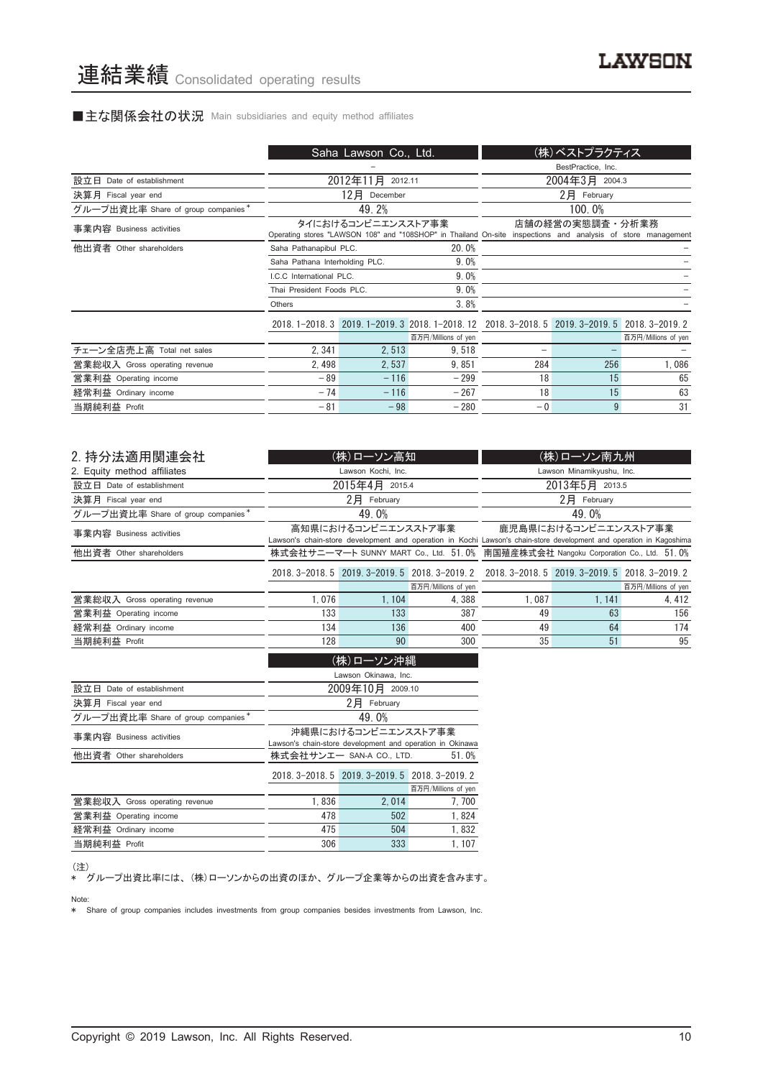# ■主な関係会社の状況 Main subsidiaries and equity method affiliates

|                                    |                                | Saha Lawson Co., Ltd. |                                                                                                              |                    | (株)ベストプラクティス    |                     |
|------------------------------------|--------------------------------|-----------------------|--------------------------------------------------------------------------------------------------------------|--------------------|-----------------|---------------------|
|                                    |                                |                       |                                                                                                              | BestPractice, Inc. |                 |                     |
| 設立日 Date of establishment          |                                | 2012年11月<br>2012.11   |                                                                                                              | 2004年3月 2004.3     |                 |                     |
| 決算月 Fiscal year end                |                                | 12月<br>December       |                                                                                                              |                    | 2月 February     |                     |
| グループ出資比率 Share of group companies* |                                | 49.2%                 |                                                                                                              |                    | 100.0%          |                     |
| 事業内容 Business activities           |                                | タイにおけるコンビニエンスストア事業    | Operating stores "LAWSON 108" and "108SHOP" in Thailand On-site inspections and analysis of store management |                    | 店舗の経営の実態調査・分析業務 |                     |
| 他出資者 Other shareholders            | Saha Pathanapibul PLC.         |                       | 20.0%                                                                                                        |                    |                 |                     |
|                                    | Saha Pathana Interholding PLC. |                       | 9.0%                                                                                                         |                    |                 |                     |
|                                    | I.C.C International PLC.       |                       | 9.0%                                                                                                         |                    |                 |                     |
|                                    | Thai President Foods PLC.      |                       | 9.0%                                                                                                         |                    |                 |                     |
|                                    | Others                         |                       | 3.8%                                                                                                         |                    |                 |                     |
|                                    |                                |                       | 2018. 1-2018. 3 2019. 1-2019. 3 2018. 1-2018. 12 2018. 3-2018. 5 2019. 3-2019. 5 2018. 3-2019. 2             |                    |                 |                     |
|                                    |                                |                       | 百万円/Millions of yen                                                                                          |                    |                 | 百万円/Millions of yen |
| チェーン全店売上高 Total net sales          | 2, 341                         | 2,513                 | 9,518                                                                                                        |                    |                 |                     |
| 営業総収入 Gross operating revenue      | 2,498                          | 2,537                 | 9,851                                                                                                        | 284                | 256             | 1,086               |
| 営業利益 Operating income              | $-89$                          | $-116$                | $-299$                                                                                                       | 18                 | 15              | 65                  |
| 経常利益 Ordinary income               | $-74$                          | $-116$                | $-267$                                                                                                       | 18                 | 15              | 63                  |
| 当期純利益 Profit                       | $-81$                          | $-98$                 | $-280$                                                                                                       | $-0$               | 9               | 31                  |

| 2. 持分法適用関連会社                       |                                                                                    | (株)ローソン高知           |                                                                                                 |                                                                                                                     | (株)ローソン南九州     |                     |  |
|------------------------------------|------------------------------------------------------------------------------------|---------------------|-------------------------------------------------------------------------------------------------|---------------------------------------------------------------------------------------------------------------------|----------------|---------------------|--|
| 2. Equity method affiliates        |                                                                                    | Lawson Kochi, Inc.  |                                                                                                 | Lawson Minamikyushu, Inc.                                                                                           |                |                     |  |
| 設立日 Date of establishment          |                                                                                    | 2015年4月 2015.4      |                                                                                                 | 2013年5月 2013.5                                                                                                      |                |                     |  |
| 決算月 Fiscal year end                |                                                                                    | $2$ $H$ February    |                                                                                                 |                                                                                                                     | $2$ 月 February |                     |  |
| グループ出資比率 Share of group companies* |                                                                                    | 49.0%               |                                                                                                 |                                                                                                                     | 49.0%          |                     |  |
| 事業内容 Business activities           |                                                                                    | 高知県におけるコンビニエンスストア事業 |                                                                                                 | 鹿児島県におけるコンビニエンスストア事業                                                                                                |                |                     |  |
|                                    |                                                                                    |                     |                                                                                                 | Lawson's chain-store development and operation in Kochi Lawson's chain-store development and operation in Kagoshima |                |                     |  |
| 他出資者 Other shareholders            | 株式会社サニーマート SUNNY MART Co., Ltd. 51.0% 南国殖産株式会社 Nangoku Corporation Co., Ltd. 51.0% |                     |                                                                                                 |                                                                                                                     |                |                     |  |
|                                    |                                                                                    |                     | 2018. 3-2018. 5 2019. 3-2019. 5 2018. 3-2019. 2 2018. 3-2018. 5 2019. 3-2019. 5 2018. 3-2019. 2 |                                                                                                                     |                |                     |  |
|                                    |                                                                                    |                     | 百万円/Millions of yen                                                                             |                                                                                                                     |                | 百万円/Millions of yen |  |
| 営業総収入 Gross operating revenue      | 1,076                                                                              | 1, 104              | 4,388                                                                                           | 1,087                                                                                                               | 1, 141         | 4, 412              |  |
| 営業利益 Operating income              | 133                                                                                | 133                 | 387                                                                                             | 49                                                                                                                  | 63             | 156                 |  |
| 経常利益 Ordinary income               | 134                                                                                | 136                 | 400                                                                                             | 49                                                                                                                  | 64             | 174                 |  |
| 当期純利益 Profit                       | 90<br>128<br>300                                                                   |                     |                                                                                                 | 35                                                                                                                  | 51             | 95                  |  |
| (株)ローソン沖縄<br>awson Okinawa Inc     |                                                                                    |                     |                                                                                                 |                                                                                                                     |                |                     |  |

|                                    | Lawson Okinawa, Inc.                                      |                                                 |                     |  |  |
|------------------------------------|-----------------------------------------------------------|-------------------------------------------------|---------------------|--|--|
| 設立日 Date of establishment          | 2009年10月 2009.10                                          |                                                 |                     |  |  |
| 決算月 Fiscal year end                |                                                           | 2月<br>February                                  |                     |  |  |
| グループ出資比率 Share of group companies* |                                                           | 49.0%                                           |                     |  |  |
| 事業内容 Business activities           |                                                           | 沖縄県におけるコンビニエンスストア事業                             |                     |  |  |
|                                    | Lawson's chain-store development and operation in Okinawa |                                                 |                     |  |  |
| 他出資者 Other shareholders            | 株式会社サンエー SAN-A CO., LTD.<br>51.0%                         |                                                 |                     |  |  |
|                                    |                                                           | 2018. 3-2018. 5 2019. 3-2019. 5 2018. 3-2019. 2 |                     |  |  |
|                                    |                                                           |                                                 | 百万円/Millions of yen |  |  |
| 営業総収入 Gross operating revenue      | 1.836                                                     | 2.014                                           | 7,700               |  |  |
| 営業利益 Operating income              | 478                                                       | 502                                             | 1,824               |  |  |
| 経常利益 Ordinary income               | 475                                                       | 504                                             | 1,832               |  |  |
| 当期純利益 Profit                       | 306                                                       | 333                                             | 1.107               |  |  |

#### (注)

\* グループ出資比率には、 (株)ローソンからの出資のほか、 グループ企業等からの出資を含みます。

#### Note:

\* Share of group companies includes investments from group companies besides investments from Lawson, Inc.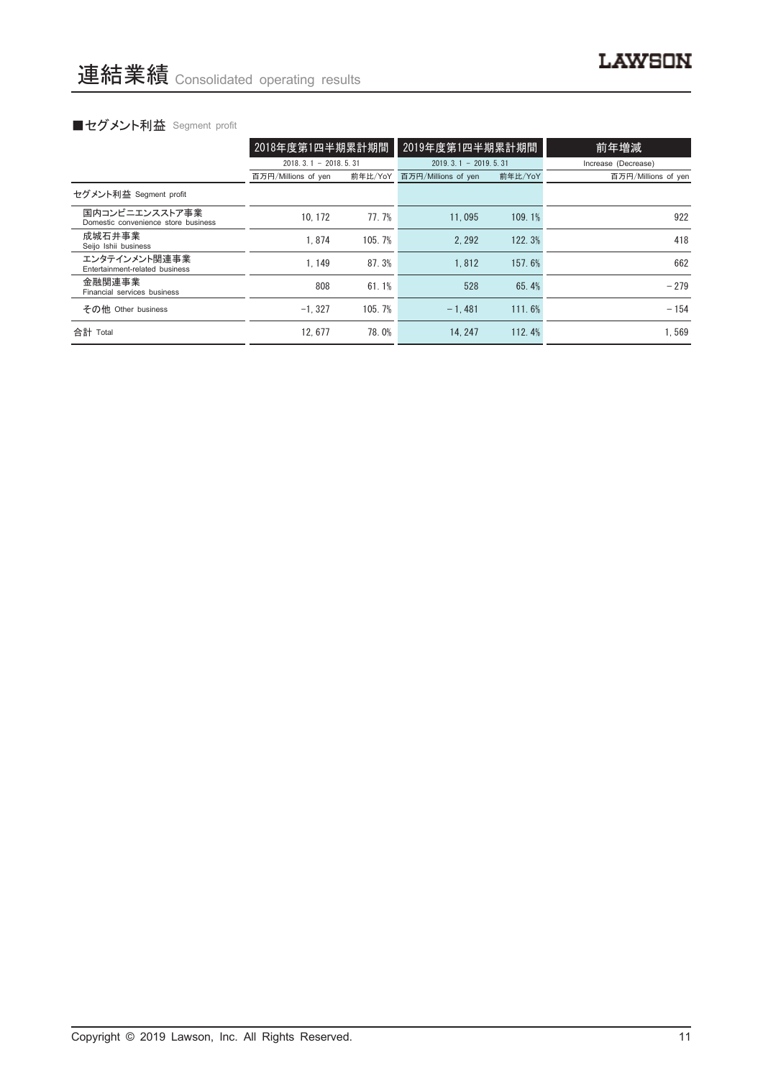|                                                       | 2018年度第1四半期累計期間        |         | 2019年度第1四半期累計期間        |         | 前年増減                |  |
|-------------------------------------------------------|------------------------|---------|------------------------|---------|---------------------|--|
|                                                       | $2018.3.1 - 2018.5.31$ |         | $2019.3.1 - 2019.5.31$ |         | Increase (Decrease) |  |
|                                                       | 百万円/Millions of yen    | 前年比/YoY | 百万円/Millions of yen    | 前年比/YoY | 百万円/Millions of yen |  |
| セグメント利益 Segment profit                                |                        |         |                        |         |                     |  |
| 国内コンビニエンスストア事業<br>Domestic convenience store business | 10.172                 | 77.7%   | 11.095                 | 109.1%  | 922                 |  |
| 成城石井事業<br>Seijo Ishii business                        | 1.874                  | 105.7%  | 2.292                  | 122.3%  | 418                 |  |
| エンタテインメント関連事業<br>Entertainment-related business       | 1.149                  | 87.3%   | 1.812                  | 157.6%  | 662                 |  |
| 金融関連事業<br>Financial services business                 | 808                    | 61.1%   | 528                    | 65.4%   | $-279$              |  |
| その他 Other business                                    | $-1.327$               | 105.7%  | $-1.481$               | 111.6%  | $-154$              |  |
| 合計 Total                                              | 12.677                 | 78.0%   | 14.247                 | 112.4%  | 1.569               |  |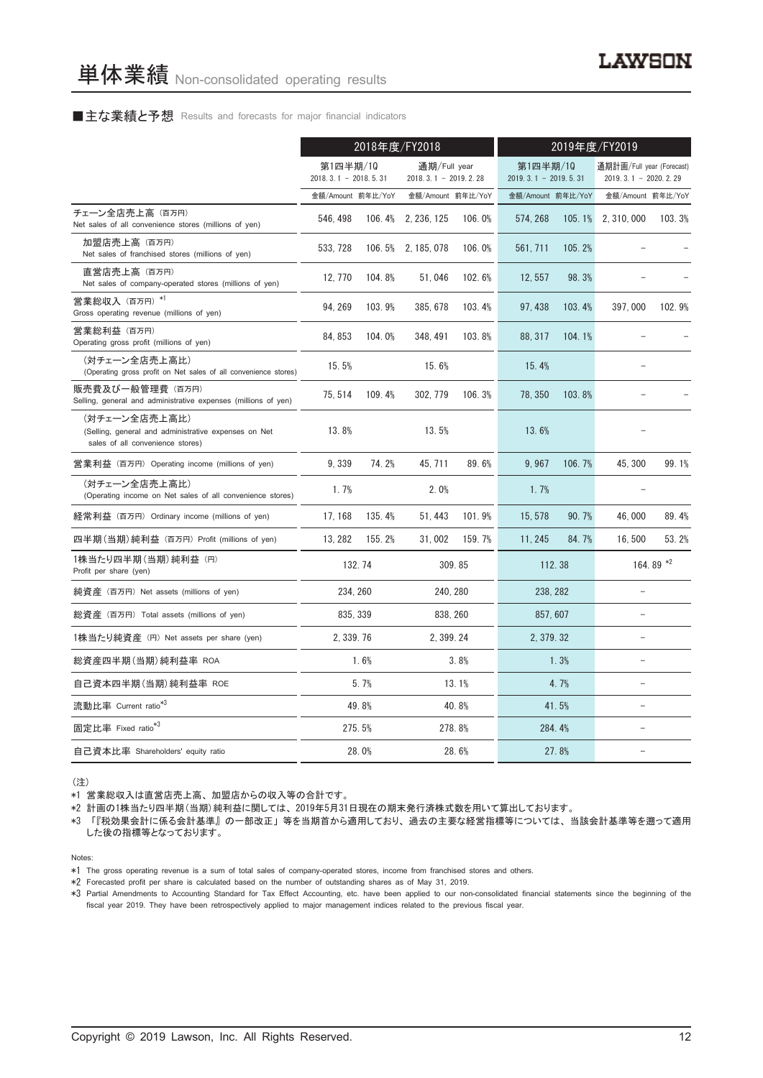### ■主な業績と予想 Results and forecasts for major financial indicators

|                                                                                                           | 2018年度/FY2018                      |        |                                          |        | 2019年度/FY2019                      |        |                                                       |           |
|-----------------------------------------------------------------------------------------------------------|------------------------------------|--------|------------------------------------------|--------|------------------------------------|--------|-------------------------------------------------------|-----------|
|                                                                                                           | 第1四半期/10<br>$2018.3.1 - 2018.5.31$ |        | 通期/Full year<br>2018. 3. 1 - 2019. 2. 28 |        | 第1四半期/10<br>$2019.3.1 - 2019.5.31$ |        | 通期計画/Full year (Forecast)<br>2019. 3. 1 - 2020. 2. 29 |           |
|                                                                                                           | 金額/Amount 前年比/YoY                  |        | 金額/Amount 前年比/YoY                        |        | 金額/Amount 前年比/YoY                  |        | 金額/Amount 前年比/YoY                                     |           |
| チェーン全店売上高 (百万円)<br>Net sales of all convenience stores (millions of yen)                                  | 546, 498                           | 106.4% | 2, 236, 125                              | 106.0% | 574, 268                           | 105.1% | 2, 310, 000                                           | 103.3%    |
| 加盟店売上高 (百万円)<br>Net sales of franchised stores (millions of yen)                                          | 533, 728                           |        | 106.5% 2.185.078                         | 106.0% | 561, 711                           | 105.2% |                                                       |           |
| 直営店売上高(百万円)<br>Net sales of company-operated stores (millions of yen)                                     | 12, 770                            | 104.8% | 51,046                                   | 102.6% | 12.557                             | 98.3%  |                                                       |           |
| 営業総収入 (百万円) *1<br>Gross operating revenue (millions of yen)                                               | 94, 269                            | 103.9% | 385, 678                                 | 103.4% | 97, 438                            | 103.4% | 397,000                                               | 102.9%    |
| 営業総利益 (百万円)<br>Operating gross profit (millions of yen)                                                   | 84, 853                            | 104.0% | 348, 491                                 | 103.8% | 88, 317                            | 104.1% |                                                       |           |
| (対チェーン全店売上高比)<br>(Operating gross profit on Net sales of all convenience stores)                          | 15.5%                              |        | 15.6%                                    |        | 15.4%                              |        |                                                       |           |
| 販売費及び一般管理費 (百万円)<br>Selling, general and administrative expenses (millions of yen)                        | 75, 514                            | 109.4% | 302.779                                  | 106.3% | 78.350                             | 103.8% |                                                       |           |
| (対チェーン全店売上高比)<br>(Selling, general and administrative expenses on Net<br>sales of all convenience stores) | 13.8%                              |        | 13.5%                                    |        | 13.6%                              |        |                                                       |           |
| 営業利益 (百万円) Operating income (millions of yen)                                                             | 9,339                              | 74.2%  | 45, 711                                  | 89.6%  | 9.967                              | 106.7% | 45, 300                                               | 99.1%     |
| (対チェーン全店売上高比)<br>(Operating income on Net sales of all convenience stores)                                | 1.7%                               |        | 2.0%                                     |        | 1.7%                               |        |                                                       |           |
| 経常利益 (百万円) Ordinary income (millions of yen)                                                              | 17, 168                            | 135.4% | 51, 443                                  | 101.9% | 15, 578                            | 90.7%  | 46.000                                                | 89.4%     |
| 四半期 (当期) 純利益 (百万円) Profit (millions of yen)                                                               | 13, 282                            | 155.2% | 31,002                                   | 159.7% | 11, 245                            | 84.7%  | 16,500                                                | 53.2%     |
| 1株当たり四半期 (当期) 純利益 (円)<br>Profit per share (yen)                                                           |                                    | 132.74 |                                          | 309.85 | 112.38                             |        |                                                       | 164.89 *2 |
| 純資産 (百万円) Net assets (millions of yen)                                                                    | 234, 260                           |        | 240, 280                                 |        | 238, 282                           |        | $\equiv$                                              |           |
| 総資産 (百万円) Total assets (millions of yen)                                                                  | 835.339                            |        | 838, 260                                 |        | 857, 607                           |        | $\overline{a}$                                        |           |
| 1株当たり純資産 (円) Net assets per share (yen)                                                                   | 2, 339. 76                         |        | 2, 399.24                                |        | 2, 379. 32                         |        | $\overline{\phantom{0}}$                              |           |
| 総資産四半期(当期)純利益率 ROA                                                                                        |                                    | 1.6%   |                                          | 3.8%   |                                    | 1.3%   |                                                       |           |
| 自己資本四半期(当期)純利益率 ROE                                                                                       |                                    | 5.7%   |                                          | 13.1%  |                                    | 4.7%   | ۳                                                     |           |
| 流動比率 Current ratio <sup>*3</sup>                                                                          |                                    | 49.8%  |                                          | 40.8%  |                                    | 41.5%  | $\equiv$                                              |           |
| 固定比率 Fixed ratio <sup>*3</sup>                                                                            |                                    | 275.5% |                                          | 278.8% | 284.4%                             |        |                                                       |           |
| 自己資本比率 Shareholders' equity ratio                                                                         |                                    | 28.0%  |                                          | 28.6%  |                                    | 27.8%  |                                                       |           |

(注)

\*1 営業総収入は直営店売上高、 加盟店からの収入等の合計です。

\*2 計画の1株当たり四半期(当期)純利益に関しては、 2019年5月31日現在の期末発行済株式数を用いて算出しております。

\*3 「『税効果会計に係る会計基準』 の一部改正」 等を当期首から適用しており、 過去の主要な経営指標等については、 当該会計基準等を遡って適用 した後の指標等となっております。

Notes:

- \*1 The gross operating revenue is a sum of total sales of company-operated stores, income from franchised stores and others.
- \*2 Forecasted profit per share is calculated based on the number of outstanding shares as of May 31, 2019.

\*3 Partial Amendments to Accounting Standard for Tax Effect Accounting, etc. have been applied to our non-consolidated financial statements since the beginning of the fiscal year 2019. They have been retrospectively applied to major management indices related to the previous fiscal year.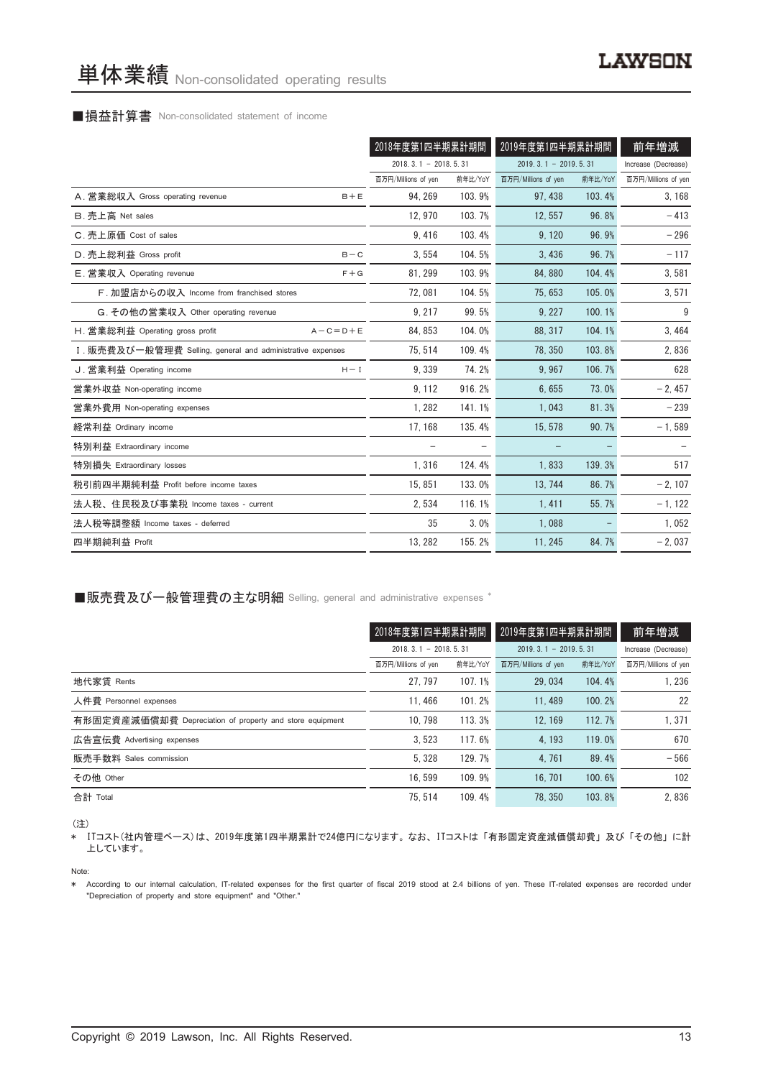### ■損益計算書 Non-consolidated statement of income

|                                                            | 2018年度第1四半期累計期間        |         | 2019年度第1四半期累計期間        | 前年増減    |                     |
|------------------------------------------------------------|------------------------|---------|------------------------|---------|---------------------|
|                                                            | $2018.3.1 - 2018.5.31$ |         | $2019.3.1 - 2019.5.31$ |         | Increase (Decrease) |
|                                                            | 百万円/Millions of yen    | 前年比/YoY | 百万円/Millions of yen    | 前年比/YoY | 百万円/Millions of yen |
| A. 営業総収入 Gross operating revenue<br>$B + E$                | 94, 269                | 103.9%  | 97, 438                | 103.4%  | 3,168               |
| B. 売上高 Net sales                                           | 12.970                 | 103.7%  | 12.557                 | 96.8%   | $-413$              |
| C. 売上原価 Cost of sales                                      | 9,416                  | 103.4%  | 9, 120                 | 96.9%   | $-296$              |
| D. 売上総利益 Gross profit<br>$B - C$                           | 3,554                  | 104.5%  | 3,436                  | 96.7%   | $-117$              |
| E. 営業収入 Operating revenue<br>$F + G$                       | 81, 299                | 103.9%  | 84,880                 | 104.4%  | 3,581               |
| F. 加盟店からの収入 Income from franchised stores                  | 72.081                 | 104.5%  | 75.653                 | 105.0%  | 3,571               |
| G. その他の営業収入 Other operating revenue                        | 9.217                  | 99.5%   | 9.227                  | 100.1%  | 9                   |
| H. 営業総利益 Operating gross profit<br>$A - C = D + E$         | 84, 853                | 104.0%  | 88, 317                | 104.1%  | 3,464               |
| I. 販売費及び一般管理費 Selling, general and administrative expenses | 75, 514                | 109.4%  | 78, 350                | 103.8%  | 2,836               |
| J. 営業利益 Operating income<br>$H - I$                        | 9.339                  | 74.2%   | 9.967                  | 106.7%  | 628                 |
| 営業外収益 Non-operating income                                 | 9, 112                 | 916.2%  | 6,655                  | 73.0%   | $-2,457$            |
| 営業外費用 Non-operating expenses                               | 1,282                  | 141.1%  | 1,043                  | 81.3%   | $-239$              |
| 経常利益 Ordinary income                                       | 17, 168                | 135.4%  | 15, 578                | 90.7%   | $-1,589$            |
| 特別利益 Extraordinary income                                  |                        |         |                        |         |                     |
| 特別損失 Extraordinary losses                                  | 1,316                  | 124.4%  | 1,833                  | 139.3%  | 517                 |
| 税引前四半期純利益 Profit before income taxes                       | 15,851                 | 133.0%  | 13, 744                | 86.7%   | $-2, 107$           |
| 法人税、住民税及び事業税 Income taxes - current                        | 2,534                  | 116.1%  | 1,411                  | 55.7%   | $-1, 122$           |
| 法人税等調整額 Income taxes - deferred                            | 35                     | 3.0%    | 1,088                  |         | 1,052               |
| 四半期純利益 Profit                                              | 13, 282                | 155.2%  | 11, 245                | 84.7%   | $-2,037$            |

■販売費及び一般管理費の主な明細 Selling, general and administrative expenses \*

|                                                          | 2018年度第1四半期累計期間        |         | 2019年度第1四半期累計期間        |         | 前年増減                |
|----------------------------------------------------------|------------------------|---------|------------------------|---------|---------------------|
|                                                          | $2018.3.1 - 2018.5.31$ |         | $2019.3.1 - 2019.5.31$ |         | Increase (Decrease) |
|                                                          | 百万円/Millions of yen    | 前年比/YoY | 百万円/Millions of yen    | 前年比/YoY | 百万円/Millions of yen |
| 地代家賃 Rents                                               | 27.797                 | 107.1%  | 29.034                 | 104.4%  | 1.236               |
| 人件費 Personnel expenses                                   | 11.466                 | 101.2%  | 11.489                 | 100.2%  | 22                  |
| 有形固定資産減価償却費 Depreciation of property and store equipment | 10.798                 | 113.3%  | 12.169                 | 112.7%  | 1.371               |
| 広告宣伝費 Advertising expenses                               | 3.523                  | 117.6%  | 4.193                  | 119.0%  | 670                 |
| 販売手数料 Sales commission                                   | 5.328                  | 129.7%  | 4.761                  | 89.4%   | $-566$              |
| その他 Other                                                | 16.599                 | 109.9%  | 16, 701                | 100.6%  | 102                 |
| 合計 Total                                                 | 75.514                 | 109.4%  | 78.350                 | 103.8%  | 2.836               |

(注)

\* ITコスト(社内管理ベース)は、 2019年度第1四半期累計で24億円になります。 なお、 ITコストは 「有形固定資産減価償却費」 及び 「その他」 に計 上しています。

Note:

\* According to our internal calculation, IT-related expenses for the first quarter of fiscal 2019 stood at 2.4 billions of yen. These IT-related expenses are recorded under "Depreciation of property and store equipment" and "Other."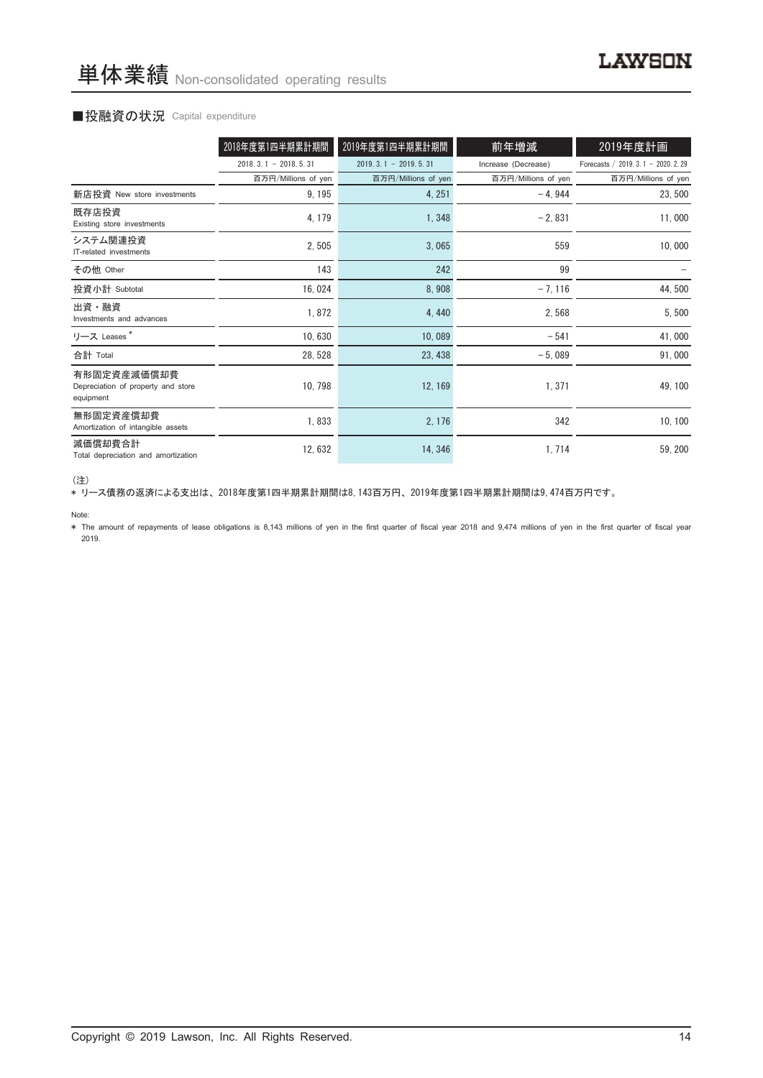# ■投融資の状況 Capital expenditure

|                                                                | 2018年度第1四半期累計期間        | 2019年度第1四半期累計期間        | 前年増減                | 2019年度計画                             |
|----------------------------------------------------------------|------------------------|------------------------|---------------------|--------------------------------------|
|                                                                | $2018.3.1 - 2018.5.31$ | $2019.3.1 - 2019.5.31$ | Increase (Decrease) | Forecasts / 2019. 3. 1 - 2020. 2. 29 |
|                                                                | 百万円/Millions of yen    | 百万円/Millions of yen    | 百万円/Millions of yen | 百万円/Millions of yen                  |
| 新店投資 New store investments                                     | 9, 195                 | 4, 251                 | $-4,944$            | 23,500                               |
| 既存店投資<br>Existing store investments                            | 4, 179                 | 1,348                  | $-2,831$            | 11,000                               |
| システム関連投資<br>IT-related investments                             | 2,505                  | 3,065                  | 559                 | 10,000                               |
| その他 Other                                                      | 143                    | 242                    | 99                  |                                      |
| 投資小計 Subtotal                                                  | 16,024                 | 8,908                  | $-7, 116$           | 44,500                               |
| 出資・融資<br>Investments and advances                              | 1,872                  | 4,440                  | 2,568               | 5,500                                |
| リース Leases*                                                    | 10,630                 | 10,089                 | $-541$              | 41,000                               |
| 合計 Total                                                       | 28, 528                | 23, 438                | $-5,089$            | 91,000                               |
| 有形固定資産減価償却費<br>Depreciation of property and store<br>equipment | 10, 798                | 12, 169                | 1, 371              | 49, 100                              |
| 無形固定資産償却費<br>Amortization of intangible assets                 | 1,833                  | 2, 176                 | 342                 | 10, 100                              |
| 減価償却費合計<br>Total depreciation and amortization                 | 12,632                 | 14, 346                | 1,714               | 59, 200                              |

<sup>(</sup>注)

\* リース債務の返済による支出は、 2018年度第1四半期累計期間は8,143百万円、 2019年度第1四半期累計期間は9,474百万円です。

Note:

\* The amount of repayments of lease obligations is 8,143 millions of yen in the first quarter of fiscal year 2018 and 9,474 millions of yen in the first quarter of fiscal year 2019.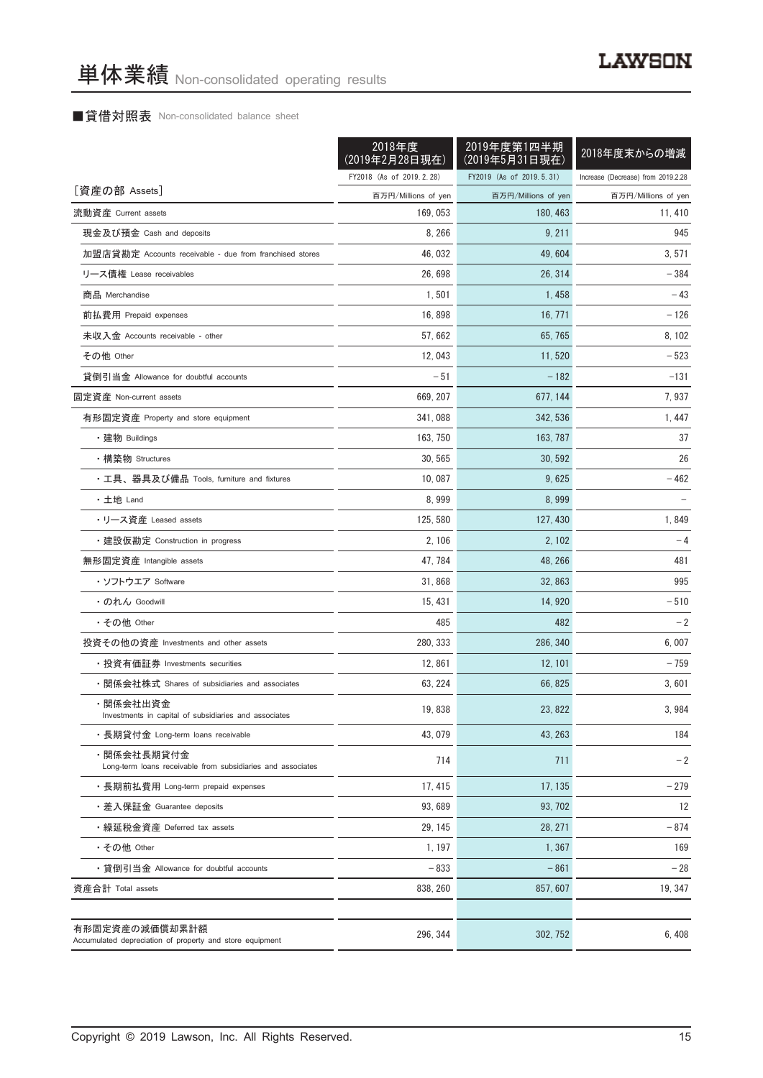# ■貸借対照表 Non-consolidated balance sheet

|                                                                            | 2018年度<br>(2019年2月28日現在) | 2019年度第1四半期<br>(2019年5月31日現在) | 2018年度末からの増減                       |
|----------------------------------------------------------------------------|--------------------------|-------------------------------|------------------------------------|
|                                                                            | FY2018 (As of 2019.2.28) | FY2019 (As of 2019.5.31)      | Increase (Decrease) from 2019.2.28 |
| [資産の部 Assets]                                                              | 百万円/Millions of yen      | 百万円/Millions of yen           | 百万円/Millions of yen                |
| 流動資産 Current assets                                                        | 169, 053                 | 180, 463                      | 11, 410                            |
| 現金及び預金 Cash and deposits                                                   | 8, 266                   | 9, 211                        | 945                                |
| 加盟店貸勘定 Accounts receivable - due from franchised stores                    | 46, 032                  | 49, 604                       | 3, 571                             |
| リース債権 Lease receivables                                                    | 26,698                   | 26, 314                       | $-384$                             |
| 商品 Merchandise                                                             | 1,501                    | 1, 458                        | $-43$                              |
| 前払費用 Prepaid expenses                                                      | 16,898                   | 16, 771                       | $-126$                             |
| 未収入金 Accounts receivable - other                                           | 57,662                   | 65, 765                       | 8, 102                             |
| その他 Other                                                                  | 12,043                   | 11, 520                       | $-523$                             |
| 貸倒引当金 Allowance for doubtful accounts                                      | $-51$                    | $-182$                        | $-131$                             |
| 固定資産 Non-current assets                                                    | 669, 207                 | 677, 144                      | 7,937                              |
| 有形固定資産 Property and store equipment                                        | 341,088                  | 342, 536                      | 1,447                              |
| ・建物 Buildings                                                              | 163, 750                 | 163, 787                      | 37                                 |
| • 構築物 Structures                                                           | 30, 565                  | 30, 592                       | 26                                 |
| ・工具、器具及び備品 Tools, furniture and fixtures                                   | 10.087                   | 9,625                         | $-462$                             |
| ・土地 Land                                                                   | 8,999                    | 8,999                         |                                    |
| ・リース資産 Leased assets                                                       | 125, 580                 | 127, 430                      | 1,849                              |
| ・建設仮勘定 Construction in progress                                            | 2, 106                   | 2, 102                        | $-4$                               |
| 無形固定資産 Intangible assets                                                   | 47, 784                  | 48, 266                       | 481                                |
| ・ソフトウエア Software                                                           | 31,868                   | 32, 863                       | 995                                |
| • のれん Goodwill                                                             | 15, 431                  | 14, 920                       | $-510$                             |
| ・その他 Other                                                                 | 485                      | 482                           | $-2$                               |
| 投資その他の資産 Investments and other assets                                      | 280, 333                 | 286, 340                      | 6,007                              |
| ・投資有価証券 Investments securities                                             | 12,861                   | 12, 101                       | $-759$                             |
| ・関係会社株式 Shares of subsidiaries and associates                              | 63, 224                  | 66, 825                       | 3,601                              |
| ・関係会社出資金<br>Investments in capital of subsidiaries and associates          | 19,838                   | 23, 822                       | 3,984                              |
| ・長期貸付金 Long-term loans receivable                                          | 43, 079                  | 43, 263                       | 184                                |
| ・関係会社長期貸付金<br>Long-term loans receivable from subsidiaries and associates  | 714                      | 711                           | $-2$                               |
| ・長期前払費用 Long-term prepaid expenses                                         | 17, 415                  | 17, 135                       | $-279$                             |
| ・差入保証金 Guarantee deposits                                                  | 93,689                   | 93, 702                       | 12                                 |
| ・繰延税金資産 Deferred tax assets                                                | 29, 145                  | 28, 271                       | $-874$                             |
| ・その他 Other                                                                 | 1, 197                   | 1,367                         | 169                                |
| ・貸倒引当金 Allowance for doubtful accounts                                     | $-833$                   | $-861$                        | $-28$                              |
| 資産合計 Total assets                                                          | 838, 260                 | 857, 607                      | 19, 347                            |
|                                                                            |                          |                               |                                    |
| 有形固定資産の減価償却累計額<br>Accumulated depreciation of property and store equipment | 296, 344                 | 302, 752                      | 6,408                              |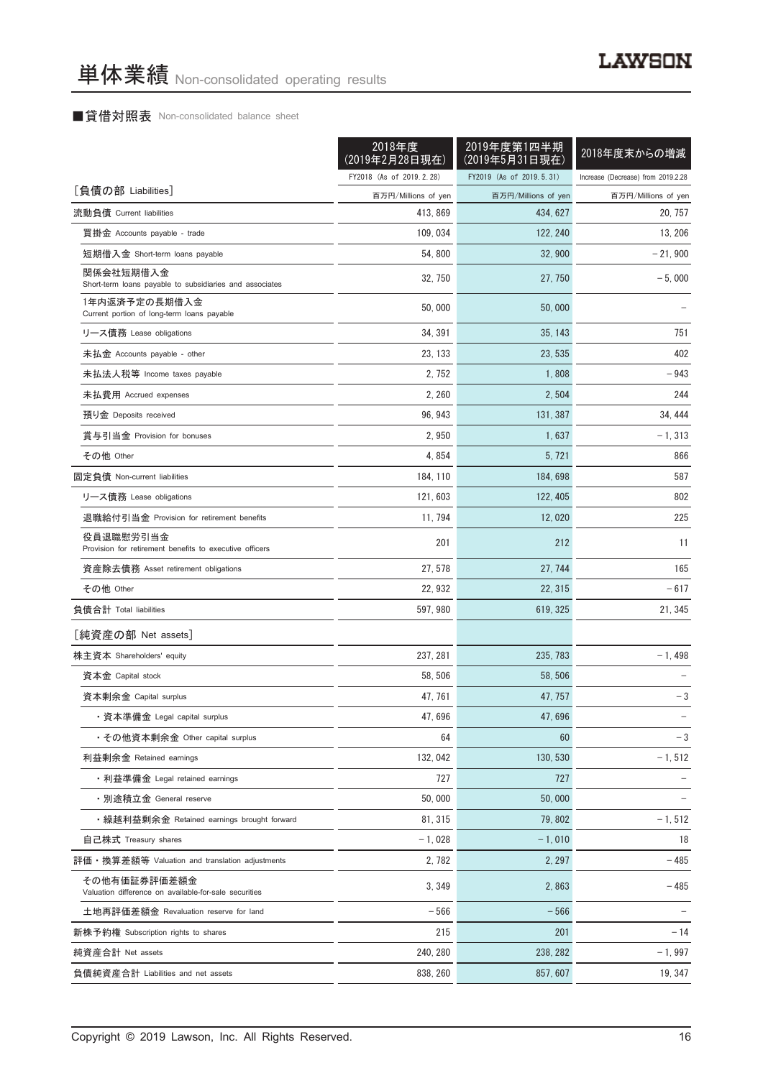# ■貸借対照表 Non-consolidated balance sheet

|                                                                       | 2018年度<br>(2019年2月28日現在) | 2019年度第1四半期<br>(2019年5月31日現在) | 2018年度末からの増減                       |
|-----------------------------------------------------------------------|--------------------------|-------------------------------|------------------------------------|
|                                                                       | FY2018 (As of 2019.2.28) | FY2019 (As of 2019.5.31)      | Increase (Decrease) from 2019.2.28 |
| [負債の部 Liabilities]                                                    | 百万円/Millions of yen      | 百万円/Millions of yen           | 百万円/Millions of yen                |
| 流動負債 Current liabilities                                              | 413, 869                 | 434, 627                      | 20, 757                            |
| 買掛金 Accounts payable - trade                                          | 109, 034                 | 122, 240                      | 13, 206                            |
| 短期借入金 Short-term loans payable                                        | 54, 800                  | 32, 900                       | - 21, 900                          |
| 関係会社短期借入金<br>Short-term loans payable to subsidiaries and associates  | 32, 750                  | 27, 750                       | $-5,000$                           |
| 1年内返済予定の長期借入金<br>Current portion of long-term loans payable           | 50,000                   | 50,000                        |                                    |
| リース債務 Lease obligations                                               | 34, 391                  | 35, 143                       | 751                                |
| 未払金 Accounts payable - other                                          | 23, 133                  | 23, 535                       | 402                                |
| 未払法人税等 Income taxes payable                                           | 2, 752                   | 1,808                         | - 943                              |
| 未払費用 Accrued expenses                                                 | 2, 260                   | 2,504                         | 244                                |
| 預り金 Deposits received                                                 | 96, 943                  | 131, 387                      | 34, 444                            |
| 賞与引当金 Provision for bonuses                                           | 2,950                    | 1,637                         | $-1,313$                           |
| その他 Other                                                             | 4,854                    | 5,721                         | 866                                |
| 固定負債 Non-current liabilities                                          | 184, 110                 | 184, 698                      | 587                                |
| リース債務 Lease obligations                                               | 121, 603                 | 122, 405                      | 802                                |
| 退職給付引当金 Provision for retirement benefits                             | 11, 794                  | 12,020                        | 225                                |
| 役員退職慰労引当金<br>Provision for retirement benefits to executive officers  | 201                      | 212                           | 11                                 |
| 資産除去債務 Asset retirement obligations                                   | 27, 578                  | 27, 744                       | 165                                |
| その他 Other                                                             | 22, 932                  | 22, 315                       | - 617                              |
| 負債合計 Total liabilities                                                | 597, 980                 | 619, 325                      | 21, 345                            |
| [純資産の部 Net assets]                                                    |                          |                               |                                    |
| 株主資本 Shareholders' equity                                             | 237, 281                 | 235, 783                      | $-1,498$                           |
| 資本金 Capital stock                                                     | 58, 506                  | 58, 506                       |                                    |
| 資本剰余金 Capital surplus                                                 | 47, 761                  | 47, 757                       | $-3$                               |
| ・資本準備金 Legal capital surplus                                          | 47,696                   | 47,696                        |                                    |
| ・その他資本剰余金 Other capital surplus                                       | 64                       | 60                            | $-3$                               |
| 利益剰余金 Retained earnings                                               | 132, 042                 | 130, 530                      | $-1, 512$                          |
| ・利益準備金 Legal retained earnings                                        | 727                      | 727                           |                                    |
| ・別途積立金 General reserve                                                | 50.000                   | 50,000                        |                                    |
| ・繰越利益剰余金 Retained earnings brought forward                            | 81, 315                  | 79,802                        | $-1, 512$                          |
| 自己株式 Treasury shares                                                  | $-1,028$                 | $-1,010$                      | 18                                 |
| 評価・換算差額等 Valuation and translation adjustments                        | 2,782                    | 2, 297                        | - 485                              |
| その他有価証券評価差額金<br>Valuation difference on available-for-sale securities | 3,349                    | 2,863                         | - 485                              |
| 土地再評価差額金 Revaluation reserve for land                                 | $-566$                   | $-566$                        |                                    |
| 新株予約権 Subscription rights to shares                                   | 215                      | 201                           | $-14$                              |
| 純資産合計 Net assets                                                      | 240, 280                 | 238, 282                      | $-1,997$                           |
| 負債純資産合計 Liabilities and net assets                                    | 838, 260                 | 857, 607                      | 19, 347                            |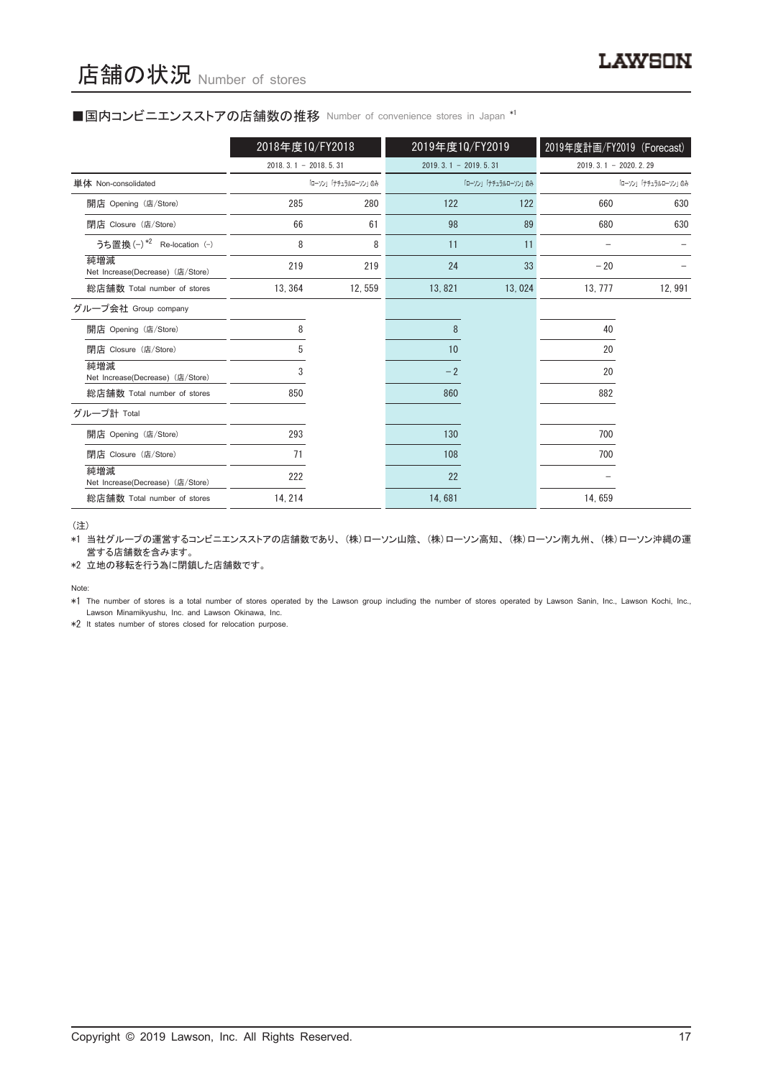### ■国内コンビニエンスストアの店舗数の推移 Number of convenience stores in Japan \*1

|                                         | 2018年度10/FY2018        |                     | 2019年度10/FY2019        |                     | 2019年度計画/FY2019 (Forecast) |                     |
|-----------------------------------------|------------------------|---------------------|------------------------|---------------------|----------------------------|---------------------|
|                                         | $2018.3.1 - 2018.5.31$ |                     | $2019.3.1 - 2019.5.31$ |                     | $2019.3.1 - 2020.2.29$     |                     |
| 単体 Non-consolidated                     |                        | 「ローソン」「ナチュラルローソン」のみ |                        | 「ローソン」「ナチュラルローソン」のみ |                            | 「ローソン」「ナチュラルローソン」のみ |
| 開店 Opening (店/Store)                    | 285                    | 280                 | 122                    | 122                 | 660                        | 630                 |
| 閉店 Closure (店/Store)                    | 66                     | 61                  | 98                     | 89                  | 680                        | 630                 |
| うち置換 (-) *2 Re-location (-)             | 8                      | 8                   | 11                     | 11                  |                            |                     |
| 純増減<br>Net Increase(Decrease) (店/Store) | 219                    | 219                 | 24                     | 33                  | $-20$                      |                     |
| 総店舗数 Total number of stores             | 13, 364                | 12,559              | 13,821                 | 13,024              | 13, 777                    | 12,991              |
| グループ会社 Group company                    |                        |                     |                        |                     |                            |                     |
| 開店 Opening (店/Store)                    | 8                      |                     | 8                      |                     | 40                         |                     |
| 閉店 Closure (店/Store)                    | 5                      |                     | 10                     |                     | 20                         |                     |
| 純増減<br>Net Increase(Decrease) (店/Store) | 3                      |                     | $-2$                   |                     | 20                         |                     |
| 総店舗数 Total number of stores             | 850                    |                     | 860                    |                     | 882                        |                     |
| グループ計 Total                             |                        |                     |                        |                     |                            |                     |
| 開店 Opening (店/Store)                    | 293                    |                     | 130                    |                     | 700                        |                     |
| 閉店 Closure (店/Store)                    | 71                     |                     | 108                    |                     | 700                        |                     |
| 純増減<br>Net Increase(Decrease) (店/Store) | 222                    |                     | 22                     |                     |                            |                     |
| 総店舗数 Total number of stores             | 14, 214                |                     | 14,681                 |                     | 14,659                     |                     |

(注)

\*1 当社グループの運営するコンビニエンスストアの店舗数であり、 (株)ローソン山陰、 (株)ローソン高知、 (株)ローソン南九州、 (株)ローソン沖縄の運 営する店舗数を含みます。

\*2 立地の移転を行う為に閉鎖した店舗数です。

Note:

\*1 The number of stores is a total number of stores operated by the Lawson group including the number of stores operated by Lawson Sanin, Inc., Lawson Kochi, Inc., Lawson Minamikyushu, Inc. and Lawson Okinawa, Inc.

\*2 It states number of stores closed for relocation purpose.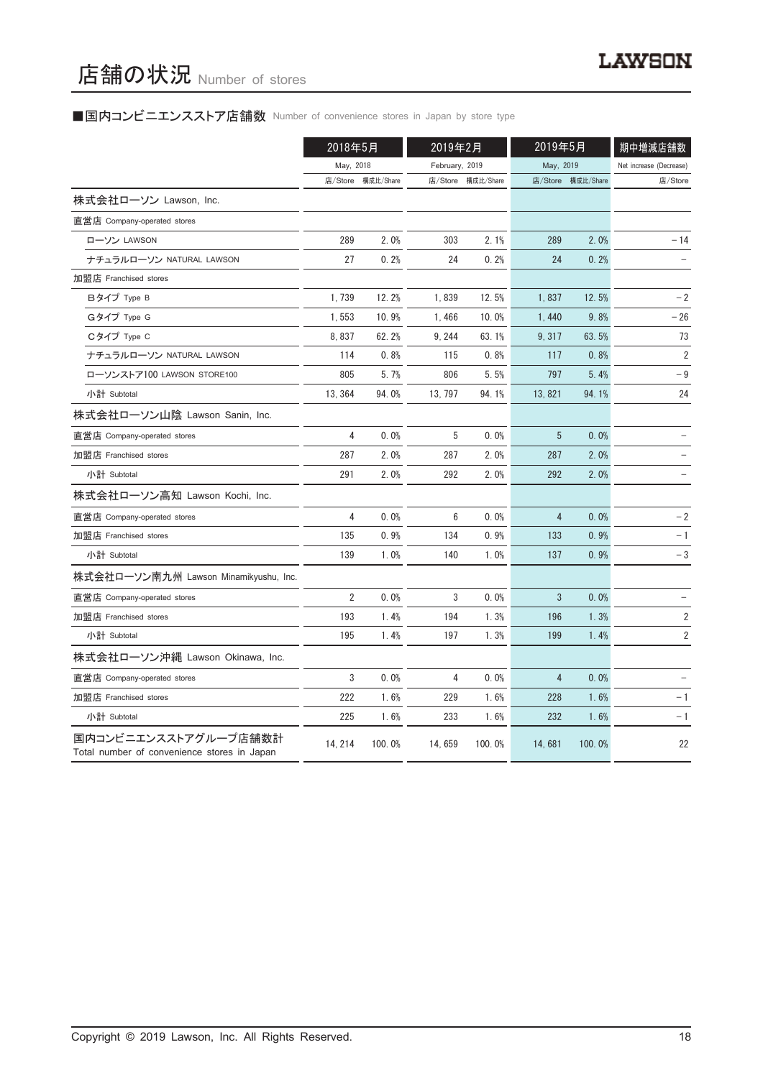# ■国内コンビニエンスストア店舗数 Number of convenience stores in Japan by store type

|                                                                     | 2018年5月        |           | 2019年2月        |           | 2019年5月        |                   | 期中増減店舗数                 |
|---------------------------------------------------------------------|----------------|-----------|----------------|-----------|----------------|-------------------|-------------------------|
|                                                                     | May, 2018      |           | February, 2019 |           | May, 2019      |                   | Net increase (Decrease) |
|                                                                     | 店/Store        | 構成比/Share | 店/Store        | 構成比/Share |                | 店/Store 構成比/Share | 店/Store                 |
| 株式会社ローソン Lawson, Inc.                                               |                |           |                |           |                |                   |                         |
| 直営店 Company-operated stores                                         |                |           |                |           |                |                   |                         |
| ローソン LAWSON                                                         | 289            | 2.0%      | 303            | 2.1%      | 289            | 2.0%              | $-14$                   |
| ナチュラルローソン NATURAL LAWSON                                            | 27             | 0.2%      | 24             | 0.2%      | 24             | 0.2%              |                         |
| 加盟店 Franchised stores                                               |                |           |                |           |                |                   |                         |
| Bタイプ Type B                                                         | 1,739          | 12.2%     | 1,839          | 12.5%     | 1,837          | 12.5%             | $-2$                    |
| Gタイプ Type G                                                         | 1,553          | 10.9%     | 1,466          | 10.0%     | 1,440          | 9.8%              | $-26$                   |
| Cタイプ Type C                                                         | 8,837          | 62.2%     | 9, 244         | 63.1%     | 9, 317         | 63.5%             | 73                      |
| ナチュラルローソン NATURAL LAWSON                                            | 114            | 0.8%      | 115            | 0.8%      | 117            | 0.8%              | $\overline{2}$          |
| ローソンストア100 LAWSON STORE100                                          | 805            | 5.7%      | 806            | 5.5%      | 797            | 5.4%              | $-9$                    |
| 小計 Subtotal                                                         | 13, 364        | 94.0%     | 13, 797        | 94.1%     | 13,821         | 94.1%             | 24                      |
| 株式会社ローソン山陰 Lawson Sanin, Inc.                                       |                |           |                |           |                |                   |                         |
| 直営店 Company-operated stores                                         | 4              | 0.0%      | 5              | 0.0%      | 5              | 0.0%              |                         |
| 加盟店 Franchised stores                                               | 287            | 2.0%      | 287            | 2.0%      | 287            | 2.0%              |                         |
| 小計 Subtotal                                                         | 291            | 2.0%      | 292            | 2.0%      | 292            | 2.0%              |                         |
| 株式会社ローソン高知 Lawson Kochi, Inc.                                       |                |           |                |           |                |                   |                         |
| 直営店 Company-operated stores                                         | 4              | 0.0%      | 6              | 0.0%      | 4              | 0.0%              | $-2$                    |
| 加盟店 Franchised stores                                               | 135            | 0.9%      | 134            | 0.9%      | 133            | 0.9%              | $-1$                    |
| 小計 Subtotal                                                         | 139            | 1.0%      | 140            | 1.0%      | 137            | 0.9%              | $-3$                    |
| 株式会社ローソン南九州 Lawson Minamikyushu, Inc.                               |                |           |                |           |                |                   |                         |
| 直営店 Company-operated stores                                         | $\overline{2}$ | 0.0%      | 3              | 0.0%      | 3              | 0.0%              |                         |
| 加盟店 Franchised stores                                               | 193            | 1.4%      | 194            | 1.3%      | 196            | 1.3%              | 2                       |
| 小計 Subtotal                                                         | 195            | 1.4%      | 197            | 1.3%      | 199            | 1.4%              | $\overline{2}$          |
| 株式会社ローソン沖縄 Lawson Okinawa, Inc.                                     |                |           |                |           |                |                   |                         |
| 直営店 Company-operated stores                                         | 3              | 0.0%      | 4              | 0.0%      | $\overline{4}$ | 0.0%              |                         |
| 加盟店 Franchised stores                                               | 222            | 1.6%      | 229            | 1.6%      | 228            | 1.6%              | $-1$                    |
| 小計 Subtotal                                                         | 225            | 1.6%      | 233            | 1.6%      | 232            | 1.6%              | - 1                     |
| 国内コンビニエンスストアグループ店舗数計<br>Total number of convenience stores in Japan | 14, 214        | 100.0%    | 14,659         | 100.0%    | 14,681         | 100.0%            | 22                      |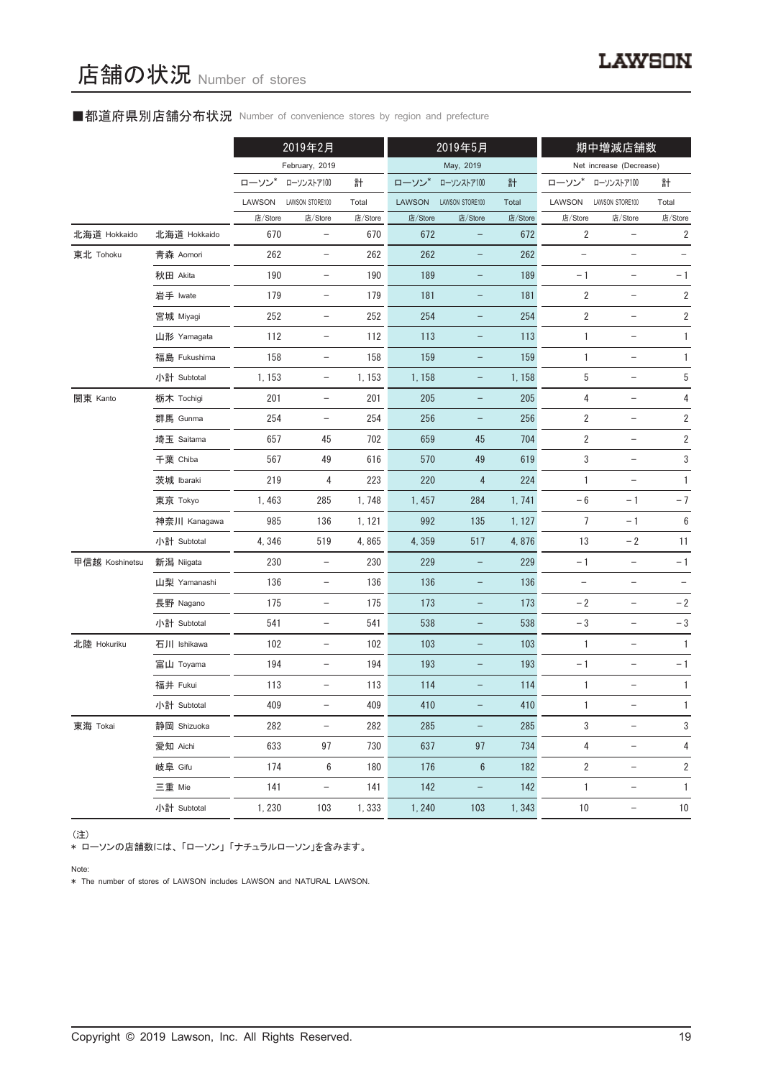# ■都道府県別店舗分布状況 Number of convenience stores by region and prefecture

|                |              |         | 2019年2月                  |         | 2019年5月       |                          |         |                          | 期中増減店舗数                  |                         |
|----------------|--------------|---------|--------------------------|---------|---------------|--------------------------|---------|--------------------------|--------------------------|-------------------------|
|                |              |         | February, 2019           |         |               | May, 2019                |         |                          | Net increase (Decrease)  |                         |
|                |              | ローソン*   | ローソンストア100               | 計       | ローソン*         | ローソンストア100               | 計       | ローソン                     | ローソンストア100               | 計                       |
|                |              | LAWSON  | LAWSON STORE100          | Total   | <b>LAWSON</b> | LAWSON STORE100          | Total   | LAWSON                   | LAWSON STORE100          | Total                   |
|                |              | 店/Store | 店/Store                  | 店/Store | 店/Store       | 店/Store                  | 店/Store | 店/Store                  | 店/Store                  | 店/Store                 |
| 北海道 Hokkaido   | 北海道 Hokkaido | 670     | $\qquad \qquad -$        | 670     | 672           | $\overline{\phantom{0}}$ | 672     | 2                        | -                        | $\overline{\mathbf{c}}$ |
| 東北 Tohoku      | 青森 Aomori    | 262     | $\qquad \qquad -$        | 262     | 262           |                          | 262     | $\overline{\phantom{m}}$ | -                        |                         |
|                | 秋田 Akita     | 190     | $\overline{\phantom{a}}$ | 190     | 189           | $\overline{\phantom{a}}$ | 189     | $-1$                     | $\overline{\phantom{a}}$ | $-1$                    |
|                | 岩手 Iwate     | 179     | $\qquad \qquad -$        | 179     | 181           | $\overline{\phantom{0}}$ | 181     | $\overline{2}$           | -                        | $\overline{\mathbf{c}}$ |
|                | 宮城 Miyagi    | 252     | $\qquad \qquad -$        | 252     | 254           | -                        | 254     | 2                        | $\overline{\phantom{0}}$ | 2                       |
|                | 山形 Yamagata  | 112     | $\overline{\phantom{a}}$ | 112     | 113           | $\overline{\phantom{a}}$ | 113     | 1                        | $\qquad \qquad -$        | 1                       |
|                | 福島 Fukushima | 158     | $\qquad \qquad -$        | 158     | 159           | $\overline{\phantom{0}}$ | 159     | 1                        |                          | $\mathbf{1}$            |
|                | 小計 Subtotal  | 1, 153  | $\qquad \qquad -$        | 1, 153  | 1,158         | -                        | 1,158   | 5                        | -                        | 5                       |
| 関東 Kanto       | 栃木 Tochigi   | 201     | $\overline{\phantom{a}}$ | 201     | 205           | $\overline{\phantom{a}}$ | 205     | 4                        | $\overline{\phantom{a}}$ | 4                       |
|                | 群馬 Gunma     | 254     | $\qquad \qquad -$        | 254     | 256           | $\qquad \qquad -$        | 256     | $\overline{\mathbf{c}}$  |                          | $\sqrt{2}$              |
|                | 埼玉 Saitama   | 657     | 45                       | 702     | 659           | 45                       | 704     | 2                        | $\overline{\phantom{0}}$ | $\sqrt{2}$              |
|                | 千葉 Chiba     | 567     | 49                       | 616     | 570           | 49                       | 619     | 3                        | $\overline{\phantom{a}}$ | 3                       |
|                | 茨城 Ibaraki   | 219     | 4                        | 223     | 220           | 4                        | 224     | 1                        |                          | $\mathbf{1}$            |
|                | 東京 Tokyo     | 1,463   | 285                      | 1,748   | 1,457         | 284                      | 1,741   | $-6$                     | $-1$                     | $-7$                    |
|                | 神奈川 Kanagawa | 985     | 136                      | 1, 121  | 992           | 135                      | 1, 127  | 7                        | $-1$                     | $\boldsymbol{6}$        |
|                | 小計 Subtotal  | 4,346   | 519                      | 4,865   | 4,359         | 517                      | 4,876   | $13$                     | $-2$                     | 11                      |
| 甲信越 Koshinetsu | 新潟 Niigata   | 230     | $\qquad \qquad -$        | 230     | 229           | -                        | 229     | $-1$                     | $\qquad \qquad -$        | $-1$                    |
|                | 山梨 Yamanashi | 136     | $\overline{\phantom{a}}$ | 136     | 136           | $\overline{\phantom{a}}$ | 136     | $\overline{\phantom{a}}$ | $\overline{\phantom{a}}$ | $\qquad \qquad -$       |
|                | 長野 Nagano    | 175     | $\qquad \qquad -$        | 175     | 173           | $\overline{\phantom{0}}$ | 173     | $-2$                     | $\overline{\phantom{0}}$ | $-2$                    |
|                | 小計 Subtotal  | 541     | $\qquad \qquad -$        | 541     | 538           | -                        | 538     | $-3$                     | -                        | $-\sqrt{3}$             |
| 北陸 Hokuriku    | 石川 Ishikawa  | 102     | $\overline{\phantom{a}}$ | 102     | 103           | $\overline{\phantom{a}}$ | 103     | $\mathbf{1}$             | $\overline{\phantom{a}}$ | $\mathbf{1}$            |
|                | 富山 Toyama    | 194     | $\qquad \qquad -$        | 194     | 193           | -                        | 193     | $-1$                     | -                        | $-1$                    |
|                | 福井 Fukui     | 113     | -                        | 113     | 114           |                          | 114     | 1                        |                          | $\mathbf{1}$            |
|                | 小計 Subtotal  | 409     | -                        | 409     | 410           |                          | 410     | 1                        |                          | 1                       |
| 東海 Tokai       | 静岡 Shizuoka  | 282     | $\qquad \qquad -$        | 282     | 285           | $\overline{\phantom{0}}$ | 285     | 3                        | $\qquad \qquad -$        | 3                       |
|                | 愛知 Aichi     | 633     | 97                       | 730     | 637           | 97                       | 734     | 4                        | $\qquad \qquad -$        | 4                       |
|                | 岐阜 Gifu      | 174     | 6                        | 180     | 176           | $6\phantom{1}6$          | 182     | 2                        | $\qquad \qquad -$        | $\overline{\mathbf{c}}$ |
|                | 三重 Mie       | 141     | $\qquad \qquad -$        | 141     | 142           | -                        | 142     | $\mathbf{1}$             | $\qquad \qquad -$        | 1                       |
|                | 小計 Subtotal  | 1,230   | 103                      | 1,333   | 1, 240        | 103                      | 1,343   | $10$                     | $\overline{\phantom{0}}$ | $10$                    |

(注)

\* ローソンの店舗数には、 「ローソン」 「ナチュラルローソン」を含みます。

Note:

\* The number of stores of LAWSON includes LAWSON and NATURAL LAWSON.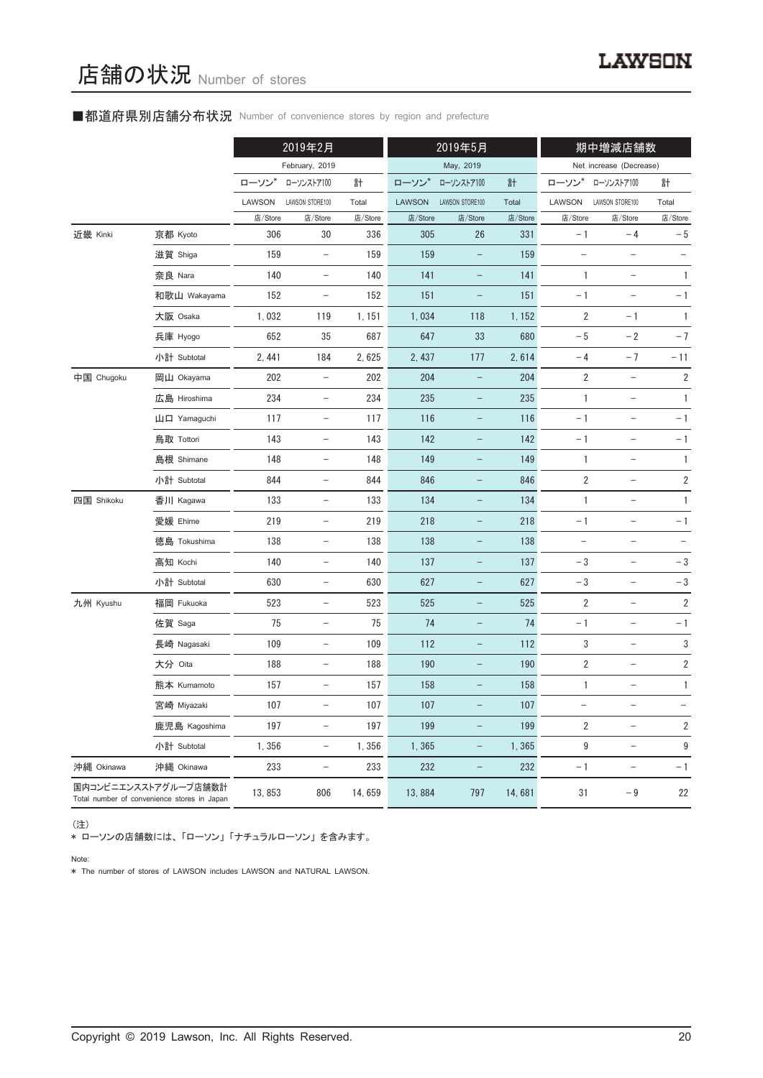# ■都道府県別店舗分布状況 Number of convenience stores by region and prefecture

|            |                                                                     |         | 2019年2月                  |         |               | 2019年5月                  |         | 期中増減店舗数                           |                                   |                          |
|------------|---------------------------------------------------------------------|---------|--------------------------|---------|---------------|--------------------------|---------|-----------------------------------|-----------------------------------|--------------------------|
|            |                                                                     |         | February, 2019           |         |               | May, 2019                |         |                                   | Net increase (Decrease)           |                          |
|            |                                                                     | ローソン*   | ローソンストア100               | 計       | ローソン*         | ローソンストア100               | 計       | ローソン                              | ローソンストア100                        | 計                        |
|            |                                                                     | LAWSON  | LAWSON STORE100          | Total   | <b>LAWSON</b> | LAWSON STORE100          | Total   | LAWSON                            | LAWSON STORE100                   | Total                    |
|            |                                                                     | 店/Store | 店/Store                  | 店/Store | 店/Store       | 店/Store                  | 店/Store | 店/Store                           | 店/Store                           | 店/Store                  |
| 近畿 Kinki   | 京都 Kyoto                                                            | 306     | 30                       | 336     | 305           | 26                       | 331     | $-1$                              | $-4$                              | $-5$                     |
|            | 滋賀 Shiga                                                            | 159     | $\overline{\phantom{a}}$ | 159     | 159           | $\qquad \qquad -$        | 159     | $\overline{\phantom{0}}$          | $\qquad \qquad -$                 | $\overline{\phantom{a}}$ |
|            | 奈良 Nara                                                             | 140     | $\overline{\phantom{0}}$ | 140     | 141           |                          | 141     | 1                                 |                                   | $\mathbf{1}$             |
|            | 和歌山 Wakayama                                                        | 152     | $\overline{\phantom{a}}$ | 152     | 151           | -                        | 151     | $-1$                              |                                   | $-1$                     |
|            | 大阪 Osaka                                                            | 1,032   | 119                      | 1, 151  | 1,034         | 118                      | 1, 152  | $\sqrt{2}$                        | $-1$                              | $\mathbf{1}$             |
|            | 兵庫 Hyogo                                                            | 652     | 35                       | 687     | 647           | 33                       | 680     | $-5$                              | $-2$                              | $-7$                     |
|            | 小計 Subtotal                                                         | 2, 441  | 184                      | 2,625   | 2, 437        | 177                      | 2,614   | $-4$                              | $-7$                              | $-11$                    |
| 中国 Chugoku | 岡山 Okayama                                                          | 202     | $\qquad \qquad -$        | 202     | 204           |                          | 204     | $\sqrt{2}$                        |                                   | $\sqrt{2}$               |
|            | 広島 Hiroshima                                                        | 234     | $\overline{\phantom{a}}$ | 234     | 235           | -                        | 235     | $\mathbf{1}$                      | $\overline{\phantom{0}}$          | 1                        |
|            | 山口 Yamaguchi                                                        | 117     | $\qquad \qquad -$        | 117     | 116           |                          | 116     | $-1$                              | $\overline{\phantom{0}}$          | $-1$                     |
|            | 鳥取 Tottori                                                          | 143     | $\overline{\phantom{0}}$ | 143     | 142           |                          | 142     | $-1$                              | $\overline{\phantom{0}}$          | $-1$                     |
|            | 島根 Shimane                                                          | 148     | $\overline{\phantom{a}}$ | 148     | 149           | $\overline{\phantom{0}}$ | 149     | 1                                 | $\hspace{0.1in} - \hspace{0.1in}$ | 1                        |
|            | 小計 Subtotal                                                         | 844     | $\equiv$                 | 844     | 846           |                          | 846     | $\overline{2}$                    | $\overline{\phantom{0}}$          | $\overline{\mathbf{c}}$  |
| 四国 Shikoku | 香川 Kagawa                                                           | 133     | $\overline{\phantom{a}}$ | 133     | 134           | $\qquad \qquad -$        | 134     | 1                                 | $\overline{a}$                    | 1                        |
|            | 愛媛 Ehime                                                            | 219     | $\overline{\phantom{0}}$ | 219     | 218           |                          | 218     | $-1$                              |                                   | $-1$                     |
|            | 徳島 Tokushima                                                        | 138     | $\overline{\phantom{a}}$ | 138     | 138           | $\qquad \qquad -$        | 138     | $\hspace{0.1in} - \hspace{0.1in}$ | $\qquad \qquad -$                 |                          |
|            | 高知 Kochi                                                            | 140     | $\overline{\phantom{0}}$ | 140     | 137           |                          | 137     | $-3$                              | $\overline{\phantom{a}}$          | $-3$                     |
|            | 小計 Subtotal                                                         | 630     | $\overline{\phantom{m}}$ | 630     | 627           |                          | 627     | $-3$                              |                                   | $-3$                     |
| 九州 Kyushu  | 福岡 Fukuoka                                                          | 523     | $\overline{\phantom{a}}$ | 523     | 525           | $\qquad \qquad -$        | 525     | $\overline{2}$                    | $\qquad \qquad -$                 | $\sqrt{2}$               |
|            | 佐賀 Saga                                                             | 75      | $\overline{\phantom{a}}$ | 75      | 74            | $\equiv$                 | 74      | $-1$                              | $\qquad \qquad -$                 | $-1$                     |
|            | 長崎 Nagasaki                                                         | 109     | $\overline{\phantom{0}}$ | 109     | 112           |                          | 112     | 3                                 |                                   | 3                        |
|            | 大分 Oita                                                             | 188     |                          | 188     | 190           |                          | 190     | $\overline{2}$                    |                                   | $\sqrt{2}$               |
|            | 熊本 Kumamoto                                                         | 157     | $\qquad \qquad -$        | 157     | 158           | -                        | 158     | 1                                 | $\qquad \qquad -$                 | 1                        |
|            | 宮崎 Miyazaki                                                         | 107     | $\qquad \qquad -$        | 107     | 107           |                          | 107     | $\overline{\phantom{0}}$          | $\qquad \qquad -$                 |                          |
|            | 鹿児島 Kagoshima                                                       | 197     | $\overline{\phantom{0}}$ | 197     | 199           |                          | 199     | 2                                 | $\overline{\phantom{0}}$          | $\overline{2}$           |
|            | 小計 Subtotal                                                         | 1,356   | $\overline{\phantom{a}}$ | 1,356   | 1,365         | $\qquad \qquad -$        | 1,365   | 9                                 | $\hspace{0.1in} - \hspace{0.1in}$ | $\boldsymbol{9}$         |
| 沖縄 Okinawa | 沖縄 Okinawa                                                          | 233     | $\overline{\phantom{a}}$ | 233     | 232           | $\qquad \qquad -$        | 232     | $-1$                              | $\hspace{1.0cm} - \hspace{1.0cm}$ | $-1$                     |
|            | 国内コンビニエンスストアグループ店舗数計<br>Total number of convenience stores in Japan | 13,853  | 806                      | 14,659  | 13,884        | 797                      | 14,681  | 31                                | $-9$                              | 22                       |

(注)

\* ローソンの店舗数には、 「ローソン」 「ナチュラルローソン」 を含みます。

Note:

\* The number of stores of LAWSON includes LAWSON and NATURAL LAWSON.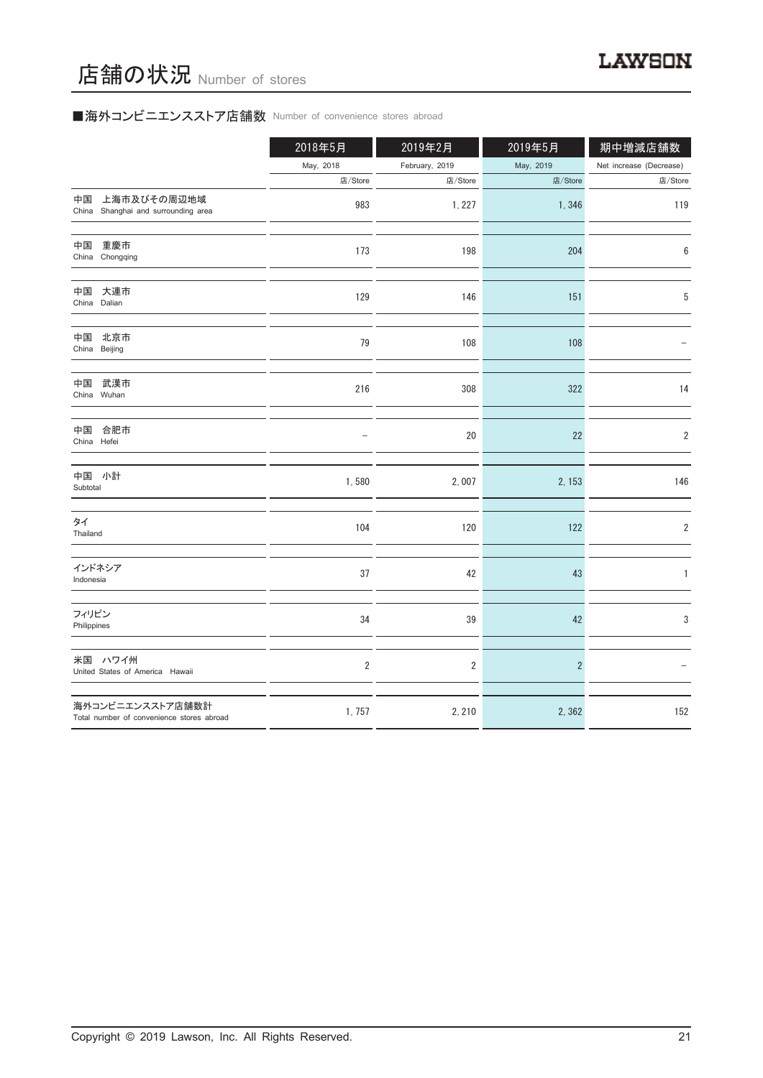# ■海外コンビニエンスストア店舗数 Number of convenience stores abroad

|                                                               | 2018年5月        | 2019年2月        | 2019年5月        | 期中増減店舗数                 |
|---------------------------------------------------------------|----------------|----------------|----------------|-------------------------|
|                                                               | May, 2018      | February, 2019 | May, 2019      | Net increase (Decrease) |
|                                                               | 店/Store        | 店/Store        | 店/Store        | 店/Store                 |
| 上海市及びその周辺地域<br>中国<br>Shanghai and surrounding area<br>China   | 983            | 1, 227         | 1,346          | 119                     |
| 重慶市<br>中国<br>China Chongqing                                  | 173            | 198            | 204            | 6                       |
| 大連市<br>中国<br>China Dalian                                     | 129            | 146            | 151            | 5                       |
| 北京市<br>中国<br>China Beijing                                    | 79             | 108            | 108            |                         |
| 中国<br>武漢市<br>China Wuhan                                      | 216            | 308            | 322            | 14                      |
| 合肥市<br>中国<br>China Hefei                                      |                | 20             | 22             | $\overline{2}$          |
| 中国 小計<br>Subtotal                                             | 1,580          | 2,007          | 2, 153         | 146                     |
| タイ<br>Thailand                                                | 104            | 120            | 122            | $\overline{2}$          |
| インドネシア<br>Indonesia                                           | 37             | 42             | 43             | 1                       |
| フィリピン<br>Philippines                                          | 34             | 39             | 42             | 3                       |
| 米国 ハワイ州<br>United States of America Hawaii                    | $\overline{2}$ | $\overline{2}$ | $\overline{2}$ |                         |
| 海外コンビニエンスストア店舗数計<br>Total number of convenience stores abroad | 1,757          | 2, 210         | 2,362          | 152                     |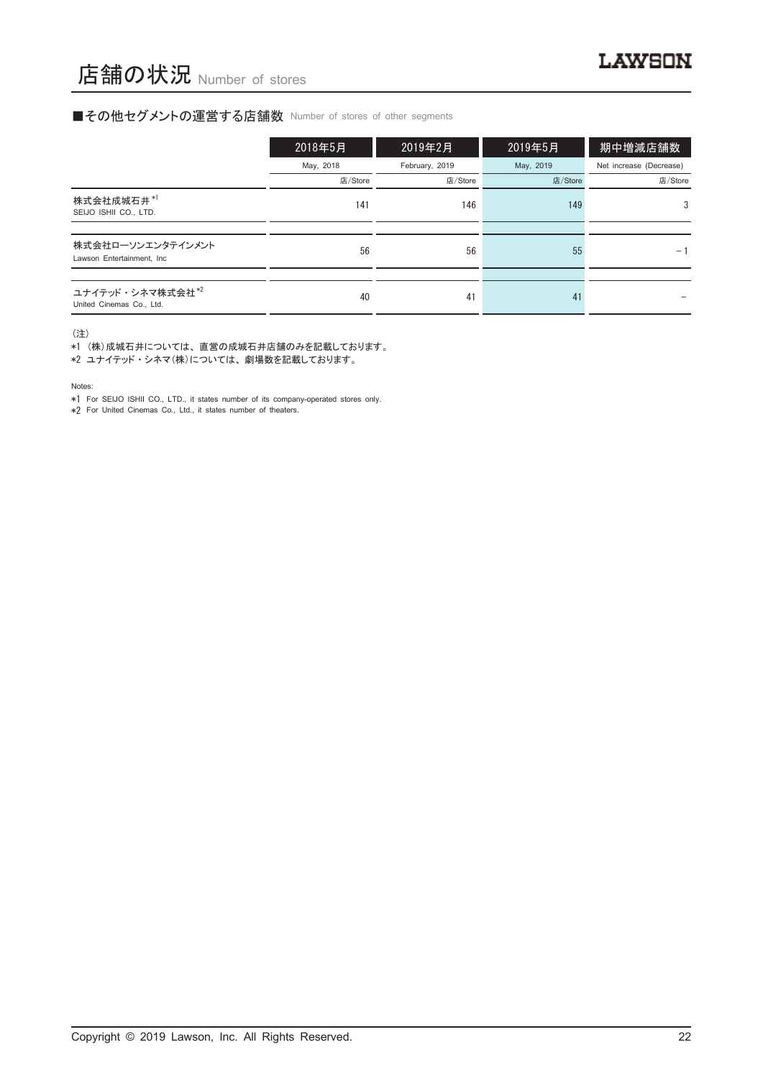### ■その他セグメントの運営する店舗数 Number of stores of other segments

|                                                          | 2018年5月   | 2019年2月        | 2019年5月   | 期中増減店舗数                 |
|----------------------------------------------------------|-----------|----------------|-----------|-------------------------|
|                                                          | May, 2018 | February, 2019 | May, 2019 | Net increase (Decrease) |
|                                                          | 店/Store   | 店/Store        | 店/Store   | 店/Store                 |
| 株式会社成城石井*1<br>SEIJO ISHII CO., LTD.                      | 141       | 146            | 149       | 3                       |
|                                                          |           |                |           |                         |
| 株式会社ローソンエンタテインメント<br>Lawson Entertainment, Inc.          | 56        | 56             | 55        | $-1$                    |
|                                                          |           |                |           |                         |
| ユナイテッド・シネマ株式会社 <sup>*2</sup><br>United Cinemas Co., Ltd. | 40        | 41             | 41        |                         |

(注)

\*1 (株)成城石井については、 直営の成城石井店舗のみを記載しております。

\*2 ユナイテッド ・ シネマ(株)については、 劇場数を記載しております。

Notes:

\*1 For SEIJO ISHII CO., LTD., it states number of its company-operated stores only.

\*2 For United Cinemas Co., Ltd., it states number of theaters.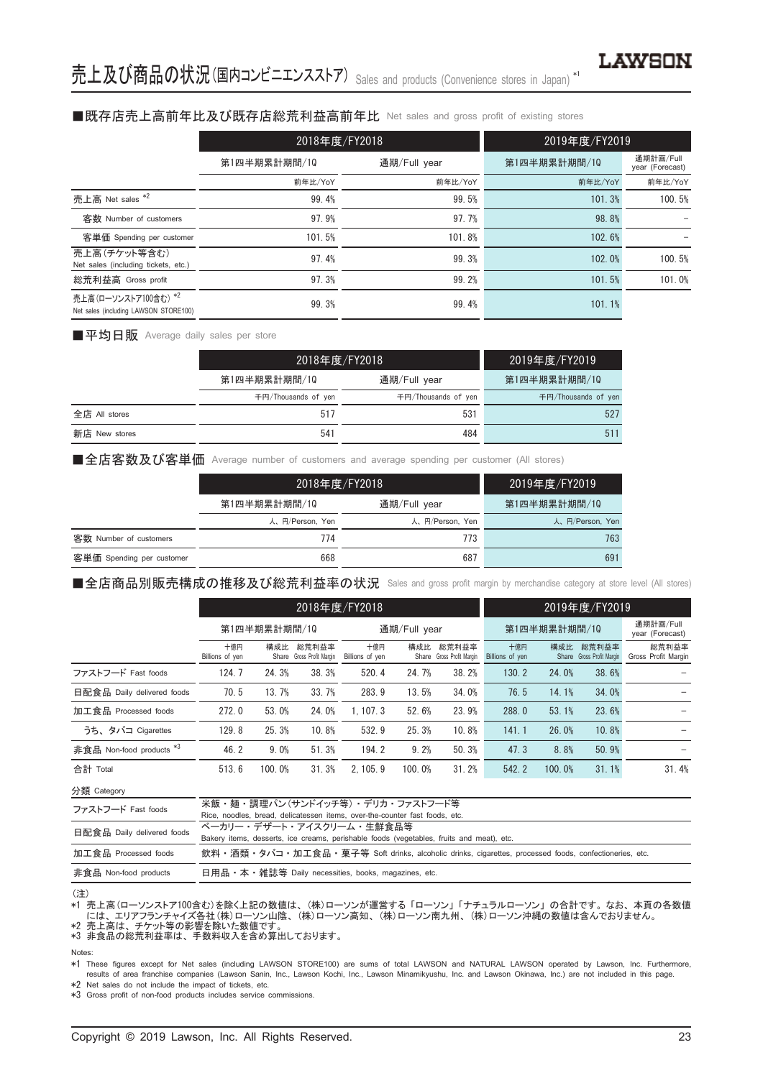### ■既存店売上高前年比及び既存店総荒利益高前年比 Net sales and gross profit of existing stores

|                                                               | 2018年度/FY2018 |              | 2019年度/FY2019 |                              |
|---------------------------------------------------------------|---------------|--------------|---------------|------------------------------|
|                                                               | 第1四半期累計期間/10  | 通期/Full year | 第1四半期累計期間/10  | 通期計画/Full<br>year (Forecast) |
|                                                               | 前年比/YoY       | 前年比/YoY      | 前年比/YoY       | 前年比/YoY                      |
| 売上高 Net sales *2                                              | 99.4%         | 99.5%        | 101.3%        | 100.5%                       |
| 客数 Number of customers                                        | 97.9%         | 97.7%        | 98.8%         |                              |
| 客単価 Spending per customer                                     | 101.5%        | 101.8%       | 102.6%        |                              |
| 売上高(チケット等含む)<br>Net sales (including tickets, etc.)           | 97.4%         | 99.3%        | 102.0%        | 100.5%                       |
| 総荒利益高 Gross profit                                            | 97.3%         | 99.2%        | 101.5%        | 101.0%                       |
| 売上高(ローソンストア100含む) *2<br>Net sales (including LAWSON STORE100) | 99.3%         | 99.4%        | 101.1%        |                              |

■平均日販 Average daily sales per store

|               | 2018年度/FY2018       |                     | 2019年度/FY2019       |
|---------------|---------------------|---------------------|---------------------|
|               | 第1四半期累計期間/10        | 通期/Full year        | 第1四半期累計期間/10        |
|               | 千円/Thousands of yen | 千円/Thousands of yen | 千円/Thousands of yen |
| 全店 All stores | 517                 | 531                 | 527                 |
| 新店 New stores | 541                 | 484                 | 511                 |

■全店客数及び客単価 Average number of customers and average spending per customer (All stores)

|                           |                 | 2018年度/FY2018   |                 |  |  |
|---------------------------|-----------------|-----------------|-----------------|--|--|
|                           | 第1四半期累計期間/10    | 通期/Full year    | 第1四半期累計期間/10    |  |  |
|                           | 人、円/Person, Yen | 人、円/Person, Yen | 人、円/Person, Yen |  |  |
| 客数 Number of customers    | 774             | 773             | 763             |  |  |
| 客単価 Spending per customer | 668             | 687             | 691             |  |  |

■全店商品別販売構成の推移及び総荒利益率の状況 Sales and gross profit margin by merchandise category at store level (All stores)

|                                     |                        | 2018年度/FY2018 |                                    |                        |        |                                    |                        |        | 2019年度/FY2019                      |                              |
|-------------------------------------|------------------------|---------------|------------------------------------|------------------------|--------|------------------------------------|------------------------|--------|------------------------------------|------------------------------|
|                                     | 第1四半期累計期間/10           |               |                                    | 通期/Full year           |        |                                    | 第1四半期累計期間/10           |        |                                    | 通期計画/Full<br>year (Forecast) |
|                                     | 十億円<br>Billions of yen | 構成比           | 総荒利益率<br>Share Gross Profit Margin | 十億円<br>Billions of yen | 構成比    | 総荒利益率<br>Share Gross Profit Margin | 十億円<br>Billions of yen | 構成比    | 総荒利益率<br>Share Gross Profit Margin | 総荒利益率<br>Gross Profit Margin |
| ファストフード Fast foods                  | 124.7                  | 24.3%         | 38.3%                              | 520.4                  | 24.7%  | 38.2%                              | 130.2                  | 24.0%  | 38.6%                              |                              |
| 日配食品 Daily delivered foods          | 70.5                   | 13.7%         | 33.7%                              | 283.9                  | 13.5%  | 34.0%                              | 76.5                   | 14.1%  | 34.0%                              |                              |
| 加工食品 Processed foods                | 272.0                  | 53.0%         | 24.0%                              | 1.107.3                | 52.6%  | 23.9%                              | 288.0                  | 53.1%  | 23.6%                              |                              |
| うち、タバコ Cigarettes                   | 129.8                  | 25.3%         | 10.8%                              | 532.9                  | 25.3%  | 10.8%                              | 141.1                  | 26.0%  | 10.8%                              |                              |
| 非食品 Non-food products <sup>*3</sup> | 46.2                   | 9.0%          | 51.3%                              | 194.2                  | 9.2%   | 50.3%                              | 47.3                   | 8.8%   | 50.9%                              |                              |
| 合計 Total                            | 513.6                  | 100.0%        | 31.3%                              | 2.105.9                | 100.0% | 31.2%                              | 542.2                  | 100.0% | 31.1%                              | 31.4%                        |

分類 Category

| ファストフード Fast foods         | 米飯・麺・調理パン(サンドイッチ等)・ デリカ・ファストフード等                                                                     |
|----------------------------|------------------------------------------------------------------------------------------------------|
|                            | Rice, noodles, bread, delicatessen items, over-the-counter fast foods, etc.                          |
| 日配食品 Daily delivered foods | ベーカリー・デザート・アイスクリーム・牛鮮食品等                                                                             |
|                            | Bakery items, desserts, ice creams, perishable foods (vegetables, fruits and meat), etc.             |
| 加工食品 Processed foods       | 飲料・酒類・タバコ・加工食品・菓子等 Soft drinks, alcoholic drinks, cigarettes, processed foods, confectioneries, etc. |
| 非食品 Non-food products      | 日用品 • 本 • 雑誌等 Daily necessities, books, magazines, etc.                                              |

<sup>(</sup>注)

\*1 売上高(ローソンストア100含む)を除く上記の数値は、 (株)ローソンが運営する 「ローソン」 「ナチュラルローソン」 の合計です。 なお、 本頁の各数値 - には、エリアフランチャイズ各社(株)ローソン山陰、(株)ローソン高知、(株)ローソン南九州、(株)ローソン沖縄の数値は含んでおりません。<br>\*2 売上高は、チケット等の影響を除いた数値です。

\*3 非食品の総荒利益率は、 手数料収入を含め算出しております。

Notes:

These figures except for Net sales (including LAWSON STORE100) are sums of total LAWSON and NATURAL LAWSON operated by Lawson, Inc. Furthermore, results of area franchise companies (Lawson Sanin, Inc., Lawson Kochi, Inc., \*2 Net sales do not include the impact of tickets, etc.